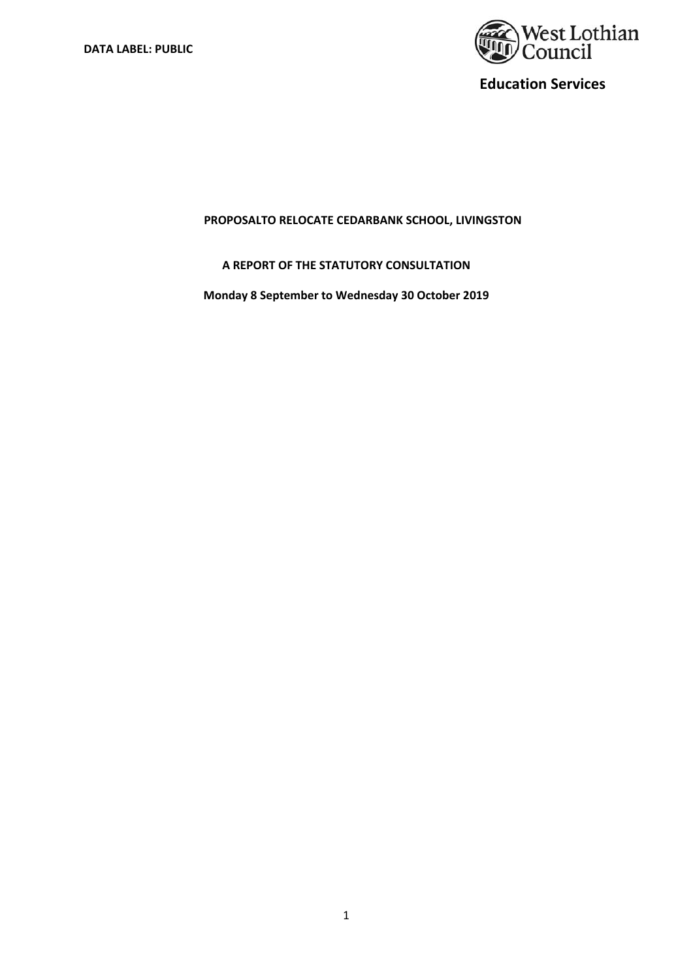

## **PROPOSALTO RELOCATE CEDARBANK SCHOOL, LIVINGSTON**

# **A REPORT OF THE STATUTORY CONSULTATION**

**Monday 8 September to Wednesday 30 October 2019**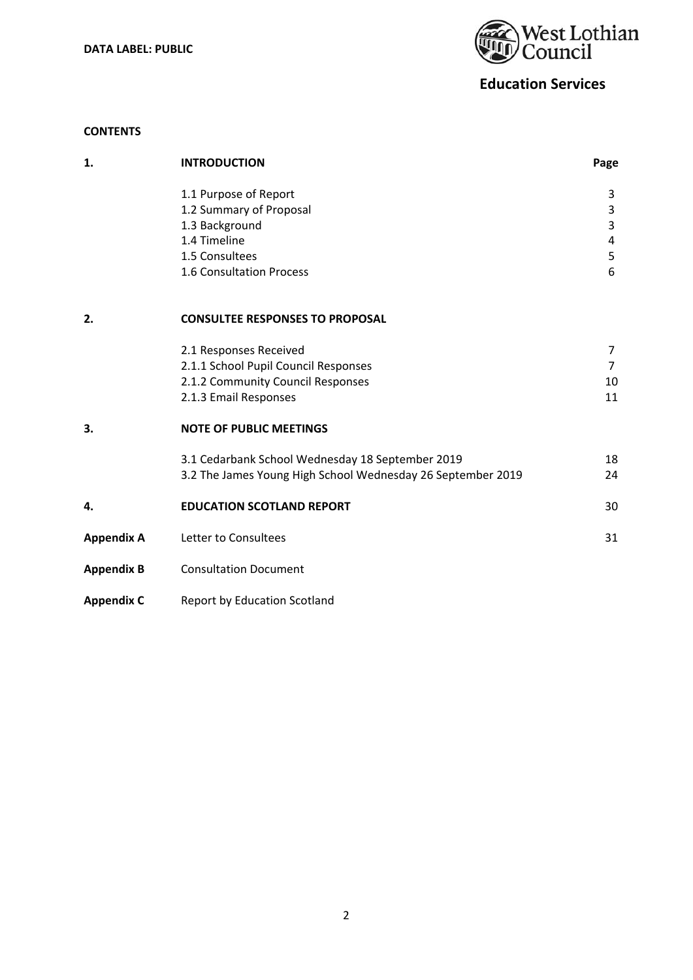**DATA LABEL: PUBLIC** 



# **Education Services**

## **CONTENTS**

| 1.                | <b>INTRODUCTION</b>                                         | Page                |
|-------------------|-------------------------------------------------------------|---------------------|
|                   | 1.1 Purpose of Report                                       | 3                   |
|                   | 1.2 Summary of Proposal                                     | $\overline{3}$      |
|                   | 1.3 Background<br>1.4 Timeline                              | 3<br>$\overline{4}$ |
|                   | 1.5 Consultees                                              | 5                   |
|                   | 1.6 Consultation Process                                    | 6                   |
| 2.                | <b>CONSULTEE RESPONSES TO PROPOSAL</b>                      |                     |
|                   | 2.1 Responses Received                                      | 7                   |
|                   | 2.1.1 School Pupil Council Responses                        | $\overline{7}$      |
|                   | 2.1.2 Community Council Responses                           | 10                  |
|                   | 2.1.3 Email Responses                                       | 11                  |
| 3.                | <b>NOTE OF PUBLIC MEETINGS</b>                              |                     |
|                   | 3.1 Cedarbank School Wednesday 18 September 2019            | 18                  |
|                   | 3.2 The James Young High School Wednesday 26 September 2019 | 24                  |
| 4.                | <b>EDUCATION SCOTLAND REPORT</b>                            | 30                  |
| <b>Appendix A</b> | Letter to Consultees                                        | 31                  |
| <b>Appendix B</b> | <b>Consultation Document</b>                                |                     |
| <b>Appendix C</b> | Report by Education Scotland                                |                     |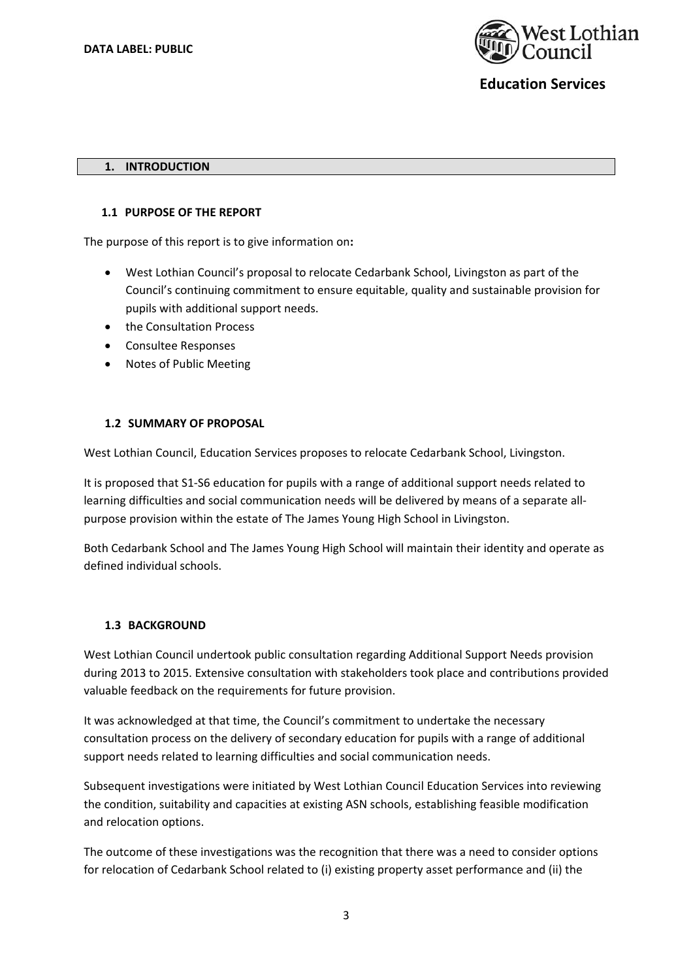

#### **1. INTRODUCTION**

#### **1.1 PURPOSE OF THE REPORT**

The purpose of this report is to give information on**:** 

- West Lothian Council's proposal to relocate Cedarbank School, Livingston as part of the Council's continuing commitment to ensure equitable, quality and sustainable provision for pupils with additional support needs.
- the Consultation Process
- Consultee Responses
- Notes of Public Meeting

#### **1.2 SUMMARY OF PROPOSAL**

West Lothian Council, Education Services proposes to relocate Cedarbank School, Livingston.

It is proposed that S1‐S6 education for pupils with a range of additional support needs related to learning difficulties and social communication needs will be delivered by means of a separate all‐ purpose provision within the estate of The James Young High School in Livingston.

Both Cedarbank School and The James Young High School will maintain their identity and operate as defined individual schools.

#### **1.3 BACKGROUND**

West Lothian Council undertook public consultation regarding Additional Support Needs provision during 2013 to 2015. Extensive consultation with stakeholders took place and contributions provided valuable feedback on the requirements for future provision.

It was acknowledged at that time, the Council's commitment to undertake the necessary consultation process on the delivery of secondary education for pupils with a range of additional support needs related to learning difficulties and social communication needs.

Subsequent investigations were initiated by West Lothian Council Education Services into reviewing the condition, suitability and capacities at existing ASN schools, establishing feasible modification and relocation options.

The outcome of these investigations was the recognition that there was a need to consider options for relocation of Cedarbank School related to (i) existing property asset performance and (ii) the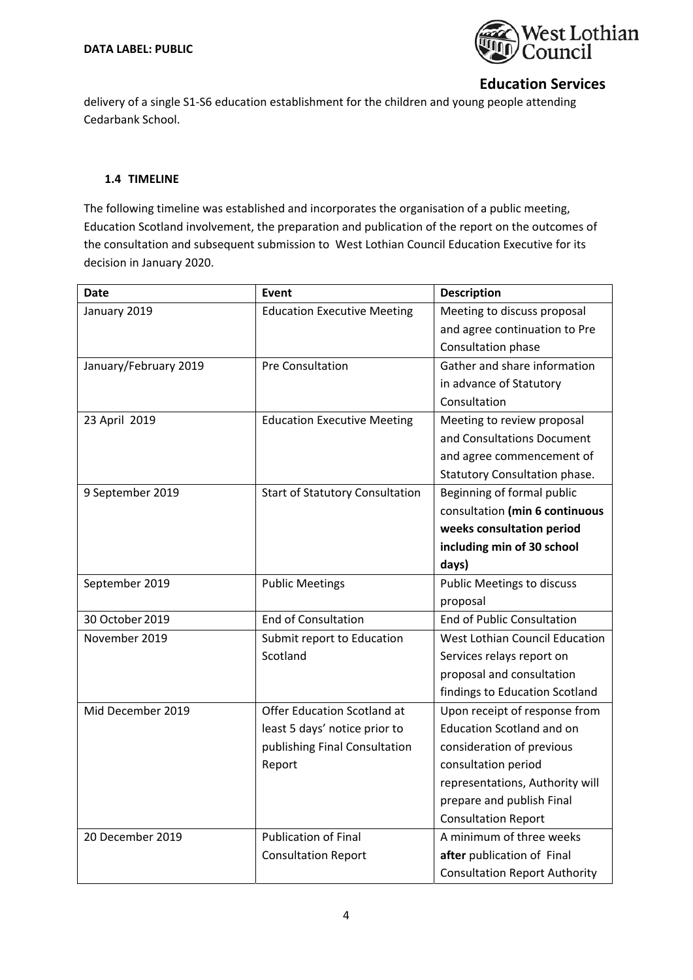

delivery of a single S1‐S6 education establishment for the children and young people attending Cedarbank School.

#### **1.4 TIMELINE**

The following timeline was established and incorporates the organisation of a public meeting, Education Scotland involvement, the preparation and publication of the report on the outcomes of the consultation and subsequent submission to West Lothian Council Education Executive for its decision in January 2020.

| Date                  | Event                                  | <b>Description</b>                   |
|-----------------------|----------------------------------------|--------------------------------------|
| January 2019          | <b>Education Executive Meeting</b>     | Meeting to discuss proposal          |
|                       |                                        | and agree continuation to Pre        |
|                       |                                        | Consultation phase                   |
| January/February 2019 | <b>Pre Consultation</b>                | Gather and share information         |
|                       |                                        | in advance of Statutory              |
|                       |                                        | Consultation                         |
| 23 April 2019         | <b>Education Executive Meeting</b>     | Meeting to review proposal           |
|                       |                                        | and Consultations Document           |
|                       |                                        | and agree commencement of            |
|                       |                                        | <b>Statutory Consultation phase.</b> |
| 9 September 2019      | <b>Start of Statutory Consultation</b> | Beginning of formal public           |
|                       |                                        | consultation (min 6 continuous       |
|                       |                                        | weeks consultation period            |
|                       |                                        | including min of 30 school           |
|                       |                                        | days)                                |
| September 2019        | <b>Public Meetings</b>                 | <b>Public Meetings to discuss</b>    |
|                       |                                        | proposal                             |
| 30 October 2019       | <b>End of Consultation</b>             | <b>End of Public Consultation</b>    |
| November 2019         | Submit report to Education             | West Lothian Council Education       |
|                       | Scotland                               | Services relays report on            |
|                       |                                        | proposal and consultation            |
|                       |                                        | findings to Education Scotland       |
| Mid December 2019     | Offer Education Scotland at            | Upon receipt of response from        |
|                       | least 5 days' notice prior to          | <b>Education Scotland and on</b>     |
|                       | publishing Final Consultation          | consideration of previous            |
|                       | Report                                 | consultation period                  |
|                       |                                        | representations, Authority will      |
|                       |                                        | prepare and publish Final            |
|                       |                                        | <b>Consultation Report</b>           |
| 20 December 2019      | <b>Publication of Final</b>            | A minimum of three weeks             |
|                       | <b>Consultation Report</b>             | after publication of Final           |
|                       |                                        | <b>Consultation Report Authority</b> |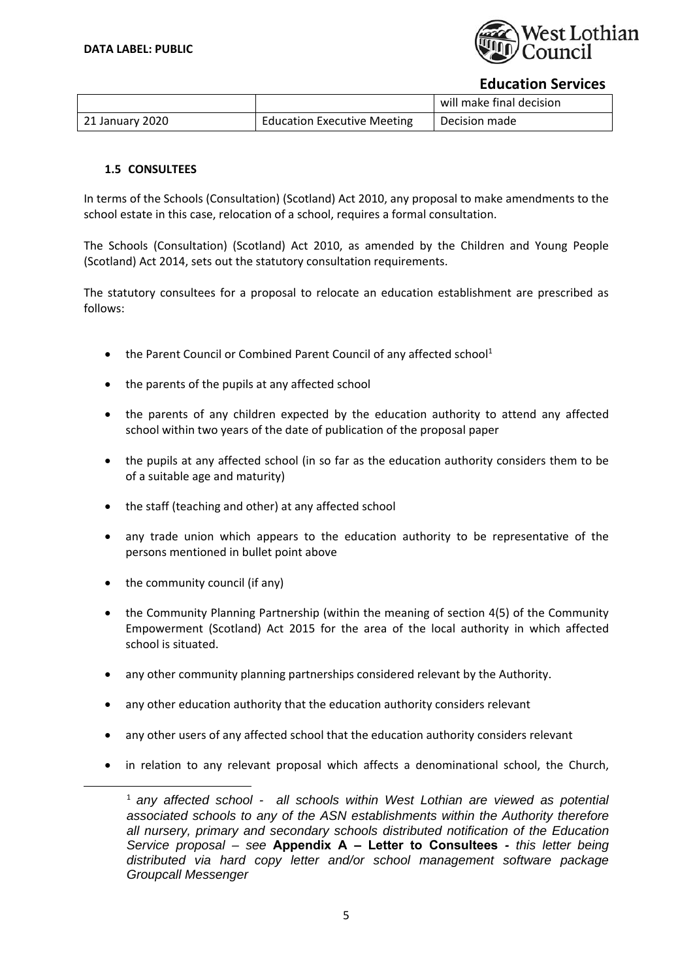

|                 |                                    | will make final decision |
|-----------------|------------------------------------|--------------------------|
| 21 January 2020 | <b>Education Executive Meeting</b> | Decision made            |

## **1.5 CONSULTEES**

In terms of the Schools (Consultation) (Scotland) Act 2010, any proposal to make amendments to the school estate in this case, relocation of a school, requires a formal consultation.

The Schools (Consultation) (Scotland) Act 2010, as amended by the Children and Young People (Scotland) Act 2014, sets out the statutory consultation requirements.

The statutory consultees for a proposal to relocate an education establishment are prescribed as follows:

- $\bullet$  the Parent Council or Combined Parent Council of any affected school<sup>1</sup>
- the parents of the pupils at any affected school
- the parents of any children expected by the education authority to attend any affected school within two years of the date of publication of the proposal paper
- the pupils at any affected school (in so far as the education authority considers them to be of a suitable age and maturity)
- the staff (teaching and other) at any affected school
- any trade union which appears to the education authority to be representative of the persons mentioned in bullet point above
- the community council (if any)

- the Community Planning Partnership (within the meaning of section 4(5) of the Community Empowerment (Scotland) Act 2015 for the area of the local authority in which affected school is situated.
- any other community planning partnerships considered relevant by the Authority.
- any other education authority that the education authority considers relevant
- any other users of any affected school that the education authority considers relevant
- in relation to any relevant proposal which affects a denominational school, the Church,

<sup>1</sup> *any affected school - all schools within West Lothian are viewed as potential associated schools to any of the ASN establishments within the Authority therefore all nursery, primary and secondary schools distributed notification of the Education Service proposal – see* **Appendix A – Letter to Consultees** *- this letter being distributed via hard copy letter and/or school management software package Groupcall Messenger*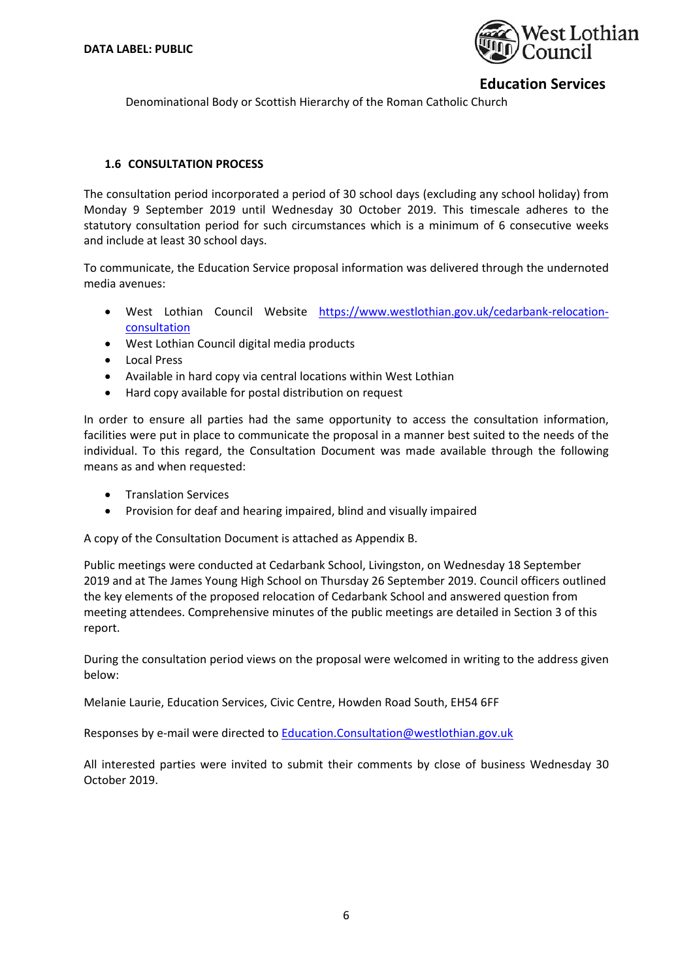

Denominational Body or Scottish Hierarchy of the Roman Catholic Church

### **1.6 CONSULTATION PROCESS**

The consultation period incorporated a period of 30 school days (excluding any school holiday) from Monday 9 September 2019 until Wednesday 30 October 2019. This timescale adheres to the statutory consultation period for such circumstances which is a minimum of 6 consecutive weeks and include at least 30 school days.

To communicate, the Education Service proposal information was delivered through the undernoted media avenues:

- West Lothian Council Website https://www.westlothian.gov.uk/cedarbank-relocationconsultation
- West Lothian Council digital media products
- Local Press
- Available in hard copy via central locations within West Lothian
- Hard copy available for postal distribution on request

In order to ensure all parties had the same opportunity to access the consultation information, facilities were put in place to communicate the proposal in a manner best suited to the needs of the individual. To this regard, the Consultation Document was made available through the following means as and when requested:

- **•** Translation Services
- Provision for deaf and hearing impaired, blind and visually impaired

A copy of the Consultation Document is attached as Appendix B.

Public meetings were conducted at Cedarbank School, Livingston, on Wednesday 18 September 2019 and at The James Young High School on Thursday 26 September 2019. Council officers outlined the key elements of the proposed relocation of Cedarbank School and answered question from meeting attendees. Comprehensive minutes of the public meetings are detailed in Section 3 of this report.

During the consultation period views on the proposal were welcomed in writing to the address given below:

Melanie Laurie, Education Services, Civic Centre, Howden Road South, EH54 6FF

Responses by e-mail were directed to Education.Consultation@westlothian.gov.uk

All interested parties were invited to submit their comments by close of business Wednesday 30 October 2019.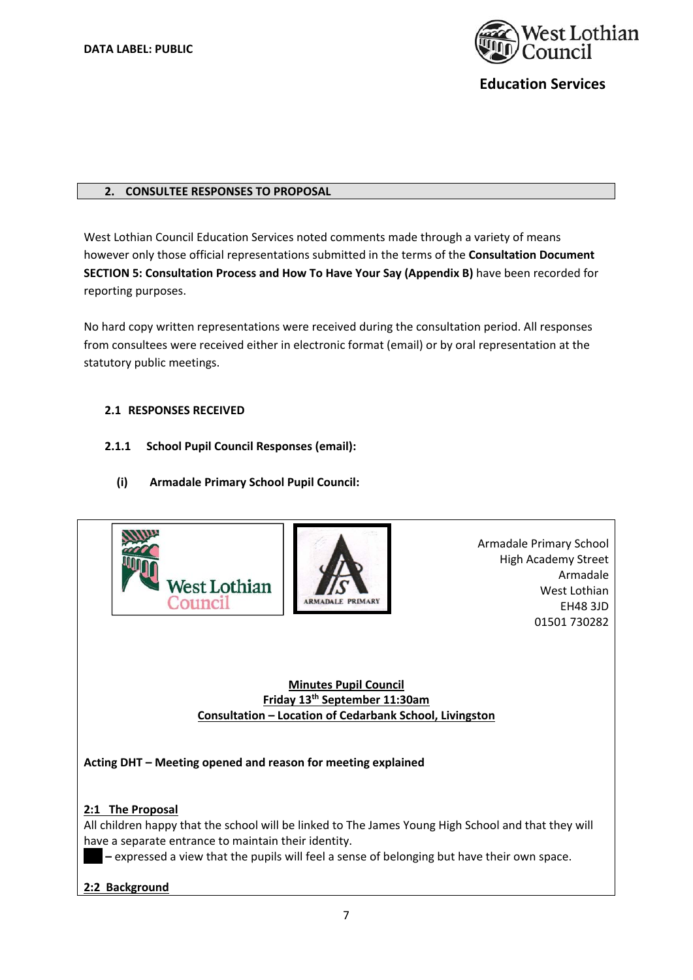

#### **2. CONSULTEE RESPONSES TO PROPOSAL**

West Lothian Council Education Services noted comments made through a variety of means however only those official representations submitted in the terms of the **Consultation Document SECTION 5: Consultation Process and How To Have Your Say (Appendix B)** have been recorded for reporting purposes.

No hard copy written representations were received during the consultation period. All responses from consultees were received either in electronic format (email) or by oral representation at the statutory public meetings.

## **2.1 RESPONSES RECEIVED**

- **2.1.1 School Pupil Council Responses (email):** 
	- **(i) Armadale Primary School Pupil Council:**





 Armadale Primary School High Academy Street Armadale West Lothian EH48 3JD 01501 730282

**Minutes Pupil Council Friday 13th September 11:30am Consultation – Location of Cedarbank School, Livingston** 

**Acting DHT – Meeting opened and reason for meeting explained** 

# **2:1 The Proposal**

All children happy that the school will be linked to The James Young High School and that they will have a separate entrance to maintain their identity.

**Xxx –** expressed a view that the pupils will feel a sense of belonging but have their own space.

#### **2:2 Background**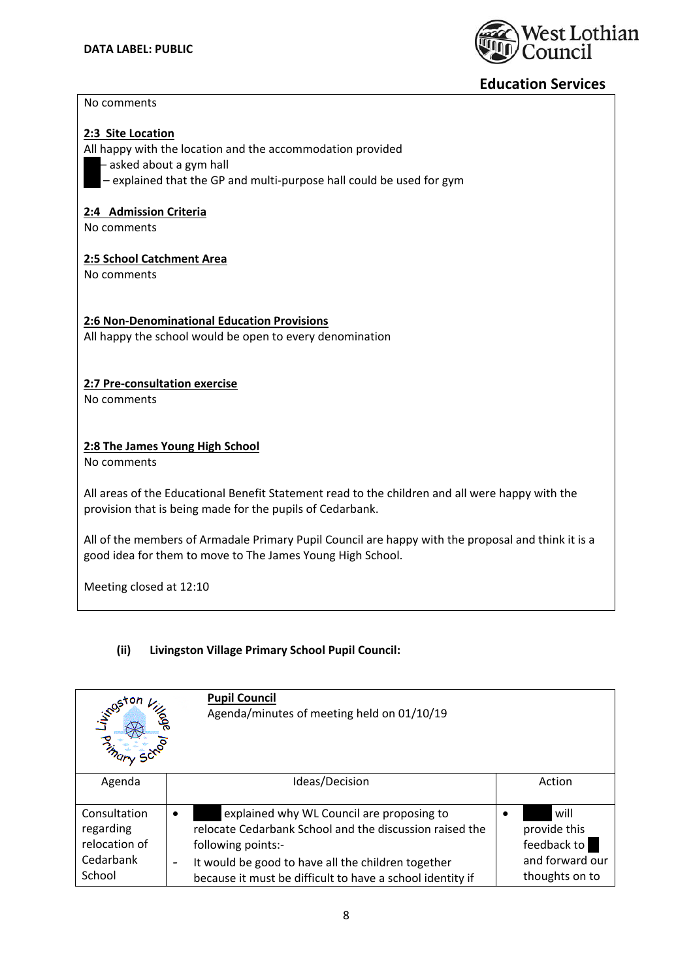

#### No comments

#### **2:3 Site Location**

All happy with the location and the accommodation provided

- asked about a gym hall
- $-$  explained that the GP and multi-purpose hall could be used for gym

#### **2:4 Admission Criteria**

No comments

#### **2:5 School Catchment Area**

No comments

#### **2:6 Non‐Denominational Education Provisions**

All happy the school would be open to every denomination

#### **2:7 Pre‐consultation exercise**

No comments

#### **2:8 The James Young High School**

No comments

All areas of the Educational Benefit Statement read to the children and all were happy with the provision that is being made for the pupils of Cedarbank.

All of the members of Armadale Primary Pupil Council are happy with the proposal and think it is a good idea for them to move to The James Young High School.

Meeting closed at 12:10

#### **(ii) Livingston Village Primary School Pupil Council:**

| indeton<br>್ಯೊ<br><b>PARADOR</b>                                  | <b>Pupil Council</b><br>Agenda/minutes of meeting held on 01/10/19                                                                                                                                                                                                             |                                                                          |
|-------------------------------------------------------------------|--------------------------------------------------------------------------------------------------------------------------------------------------------------------------------------------------------------------------------------------------------------------------------|--------------------------------------------------------------------------|
| Agenda                                                            | Ideas/Decision                                                                                                                                                                                                                                                                 | Action                                                                   |
| Consultation<br>regarding<br>relocation of<br>Cedarbank<br>School | explained why WL Council are proposing to<br>٠<br>relocate Cedarbank School and the discussion raised the<br>following points:-<br>It would be good to have all the children together<br>$\overline{\phantom{a}}$<br>because it must be difficult to have a school identity if | will<br>provide this<br>feedback to<br>and forward our<br>thoughts on to |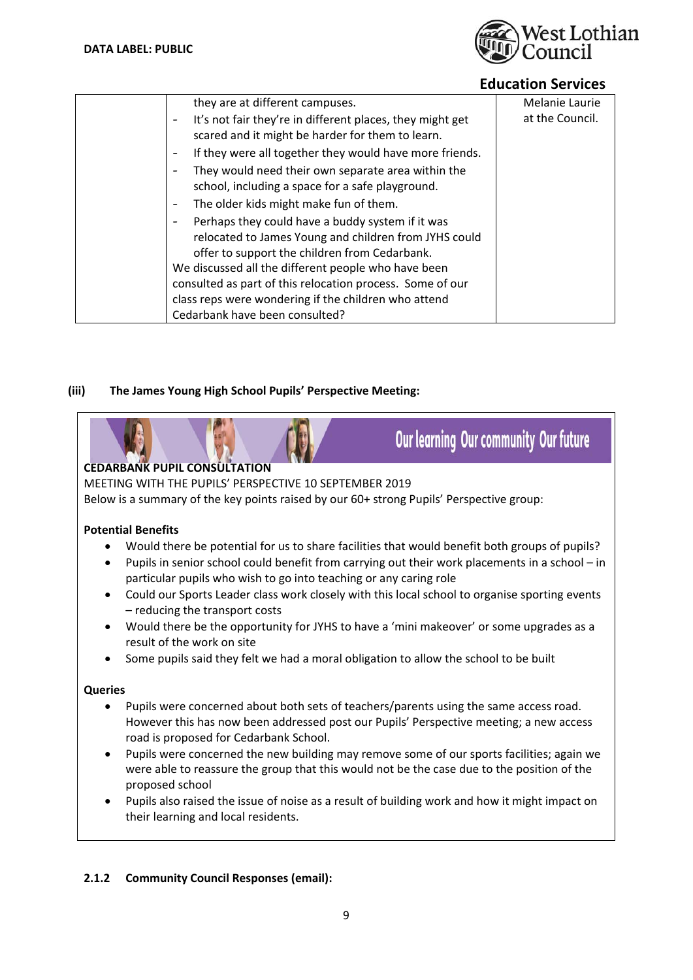

Our learning Our community Our future

| they are at different campuses.<br>Melanie Laurie<br>at the Council.<br>It's not fair they're in different places, they might get<br>scared and it might be harder for them to learn.<br>If they were all together they would have more friends.<br>They would need their own separate area within the<br>school, including a space for a safe playground.<br>The older kids might make fun of them.<br>Perhaps they could have a buddy system if it was<br>relocated to James Young and children from JYHS could<br>offer to support the children from Cedarbank.<br>We discussed all the different people who have been<br>consulted as part of this relocation process. Some of our<br>class reps were wondering if the children who attend<br>Cedarbank have been consulted? |  |  |
|----------------------------------------------------------------------------------------------------------------------------------------------------------------------------------------------------------------------------------------------------------------------------------------------------------------------------------------------------------------------------------------------------------------------------------------------------------------------------------------------------------------------------------------------------------------------------------------------------------------------------------------------------------------------------------------------------------------------------------------------------------------------------------|--|--|
|                                                                                                                                                                                                                                                                                                                                                                                                                                                                                                                                                                                                                                                                                                                                                                                  |  |  |
|                                                                                                                                                                                                                                                                                                                                                                                                                                                                                                                                                                                                                                                                                                                                                                                  |  |  |
|                                                                                                                                                                                                                                                                                                                                                                                                                                                                                                                                                                                                                                                                                                                                                                                  |  |  |
|                                                                                                                                                                                                                                                                                                                                                                                                                                                                                                                                                                                                                                                                                                                                                                                  |  |  |
|                                                                                                                                                                                                                                                                                                                                                                                                                                                                                                                                                                                                                                                                                                                                                                                  |  |  |
|                                                                                                                                                                                                                                                                                                                                                                                                                                                                                                                                                                                                                                                                                                                                                                                  |  |  |
|                                                                                                                                                                                                                                                                                                                                                                                                                                                                                                                                                                                                                                                                                                                                                                                  |  |  |
|                                                                                                                                                                                                                                                                                                                                                                                                                                                                                                                                                                                                                                                                                                                                                                                  |  |  |

# **(iii) The James Young High School Pupils' Perspective Meeting:**

# **CEDARBANK PUPIL CONSULTATION**

MEETING WITH THE PUPILS' PERSPECTIVE 10 SEPTEMBER 2019

Below is a summary of the key points raised by our 60+ strong Pupils' Perspective group:

# **Potential Benefits**

- Would there be potential for us to share facilities that would benefit both groups of pupils?
- Pupils in senior school could benefit from carrying out their work placements in a school in particular pupils who wish to go into teaching or any caring role
- Could our Sports Leader class work closely with this local school to organise sporting events – reducing the transport costs
- Would there be the opportunity for JYHS to have a 'mini makeover' or some upgrades as a result of the work on site
- Some pupils said they felt we had a moral obligation to allow the school to be built

#### **Queries**

- Pupils were concerned about both sets of teachers/parents using the same access road. However this has now been addressed post our Pupils' Perspective meeting; a new access road is proposed for Cedarbank School.
- Pupils were concerned the new building may remove some of our sports facilities; again we were able to reassure the group that this would not be the case due to the position of the proposed school
- Pupils also raised the issue of noise as a result of building work and how it might impact on their learning and local residents.

# **2.1.2 Community Council Responses (email):**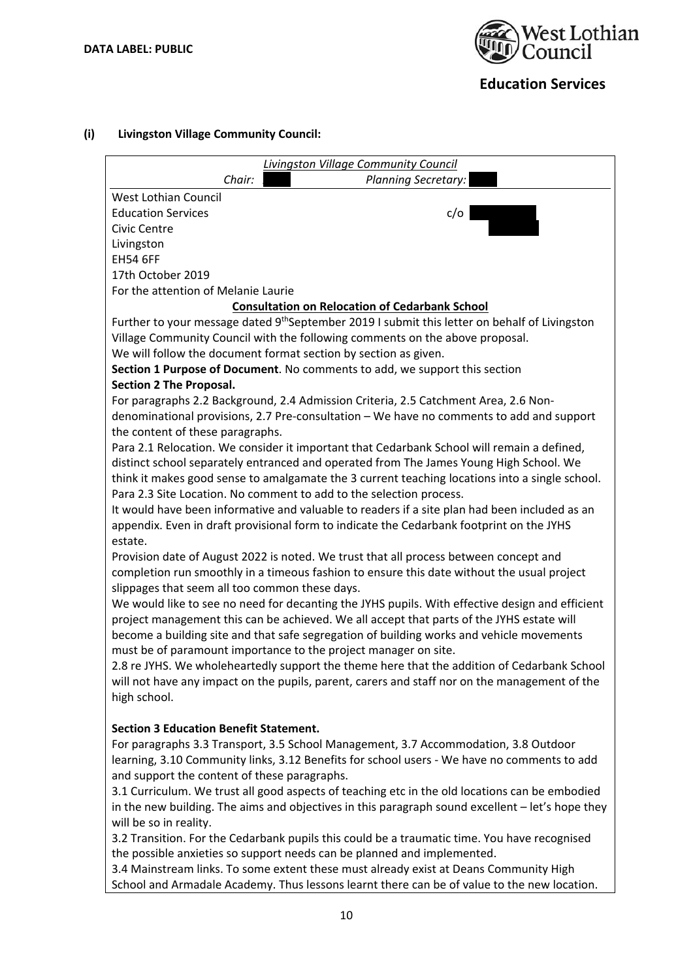

# **(i) Livingston Village Community Council:**

|                                                | Livingston Village Community Council                                                                      |
|------------------------------------------------|-----------------------------------------------------------------------------------------------------------|
| Chair:                                         | Planning Secretary:                                                                                       |
| West Lothian Council                           |                                                                                                           |
| <b>Education Services</b>                      | c/o                                                                                                       |
| Civic Centre                                   |                                                                                                           |
| Livingston                                     |                                                                                                           |
| <b>EH54 6FF</b>                                |                                                                                                           |
| 17th October 2019                              |                                                                                                           |
| For the attention of Melanie Laurie            |                                                                                                           |
|                                                | <b>Consultation on Relocation of Cedarbank School</b>                                                     |
|                                                | Further to your message dated 9 <sup>th</sup> September 2019 I submit this letter on behalf of Livingston |
|                                                | Village Community Council with the following comments on the above proposal.                              |
|                                                | We will follow the document format section by section as given.                                           |
|                                                | Section 1 Purpose of Document. No comments to add, we support this section                                |
| <b>Section 2 The Proposal.</b>                 |                                                                                                           |
|                                                | For paragraphs 2.2 Background, 2.4 Admission Criteria, 2.5 Catchment Area, 2.6 Non-                       |
|                                                | denominational provisions, 2.7 Pre-consultation - We have no comments to add and support                  |
| the content of these paragraphs.               |                                                                                                           |
|                                                | Para 2.1 Relocation. We consider it important that Cedarbank School will remain a defined,                |
|                                                | distinct school separately entranced and operated from The James Young High School. We                    |
|                                                | think it makes good sense to amalgamate the 3 current teaching locations into a single school.            |
|                                                | Para 2.3 Site Location. No comment to add to the selection process.                                       |
|                                                | It would have been informative and valuable to readers if a site plan had been included as an             |
|                                                | appendix. Even in draft provisional form to indicate the Cedarbank footprint on the JYHS                  |
| estate.                                        |                                                                                                           |
|                                                | Provision date of August 2022 is noted. We trust that all process between concept and                     |
|                                                | completion run smoothly in a timeous fashion to ensure this date without the usual project                |
| slippages that seem all too common these days. |                                                                                                           |
|                                                | We would like to see no need for decanting the JYHS pupils. With effective design and efficient           |
|                                                | project management this can be achieved. We all accept that parts of the JYHS estate will                 |
|                                                | become a building site and that safe segregation of building works and vehicle movements                  |
|                                                | must be of paramount importance to the project manager on site.                                           |
|                                                | 2.8 re JYHS. We wholeheartedly support the theme here that the addition of Cedarbank School               |
|                                                | will not have any impact on the pupils, parent, carers and staff nor on the management of the             |
| high school.                                   |                                                                                                           |
|                                                |                                                                                                           |
| <b>Section 3 Education Benefit Statement.</b>  |                                                                                                           |
|                                                | For paragraphs 3.3 Transport, 3.5 School Management, 3.7 Accommodation, 3.8 Outdoor                       |
|                                                | learning, 3.10 Community links, 3.12 Benefits for school users - We have no comments to add               |
| and support the content of these paragraphs.   |                                                                                                           |
|                                                | 3.1 Curriculum. We trust all good aspects of teaching etc in the old locations can be embodied            |
|                                                | in the new building. The aims and objectives in this paragraph sound excellent - let's hope they          |
| will be so in reality.                         |                                                                                                           |
|                                                | 3.2 Transition. For the Cedarbank pupils this could be a traumatic time. You have recognised              |
|                                                | the possible anxieties so support needs can be planned and implemented.                                   |
|                                                | 3.4 Mainstream links. To some extent these must already exist at Deans Community High                     |
|                                                | School and Armadale Academy. Thus lessons learnt there can be of value to the new location.               |
|                                                |                                                                                                           |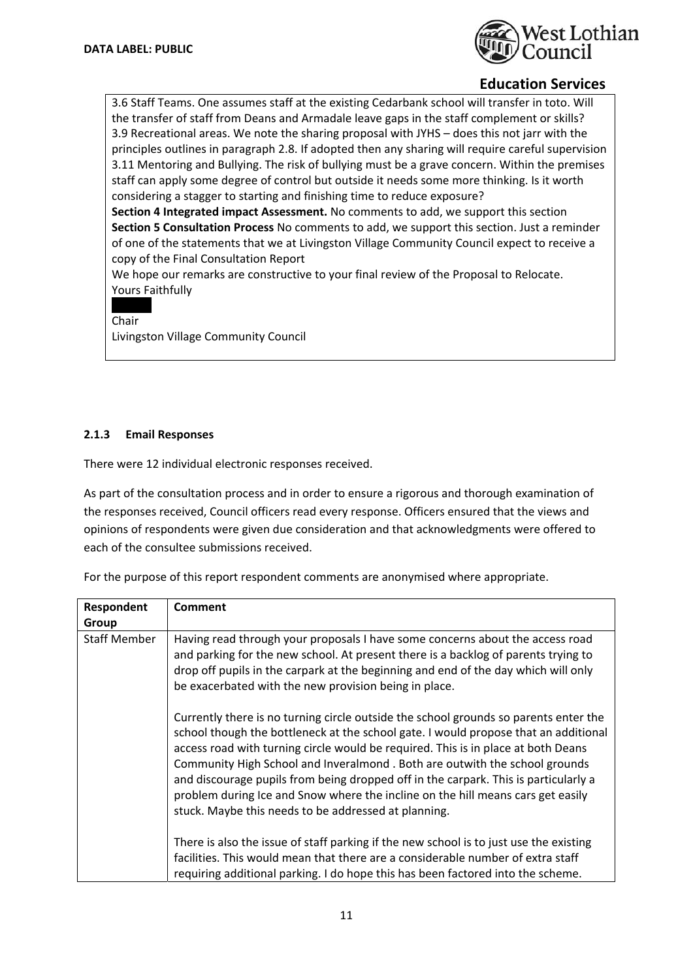

3.6 Staff Teams. One assumes staff at the existing Cedarbank school will transfer in toto. Will the transfer of staff from Deans and Armadale leave gaps in the staff complement or skills? 3.9 Recreational areas. We note the sharing proposal with JYHS – does this not jarr with the principles outlines in paragraph 2.8. If adopted then any sharing will require careful supervision 3.11 Mentoring and Bullying. The risk of bullying must be a grave concern. Within the premises staff can apply some degree of control but outside it needs some more thinking. Is it worth considering a stagger to starting and finishing time to reduce exposure?

**Section 4 Integrated impact Assessment.** No comments to add, we support this section **Section 5 Consultation Process** No comments to add, we support this section. Just a reminder of one of the statements that we at Livingston Village Community Council expect to receive a copy of the Final Consultation Report 

We hope our remarks are constructive to your final review of the Proposal to Relocate. Yours Faithfully

 $X \times X$ Chair

Livingston Village Community Council

#### **2.1.3 Email Responses**

There were 12 individual electronic responses received.

As part of the consultation process and in order to ensure a rigorous and thorough examination of the responses received, Council officers read every response. Officers ensured that the views and opinions of respondents were given due consideration and that acknowledgments were offered to each of the consultee submissions received.

For the purpose of this report respondent comments are anonymised where appropriate.

| Respondent          | Comment                                                                                                                                                                                                                                                                                                                                                                                                                                                                                                                                                                           |
|---------------------|-----------------------------------------------------------------------------------------------------------------------------------------------------------------------------------------------------------------------------------------------------------------------------------------------------------------------------------------------------------------------------------------------------------------------------------------------------------------------------------------------------------------------------------------------------------------------------------|
| Group               |                                                                                                                                                                                                                                                                                                                                                                                                                                                                                                                                                                                   |
| <b>Staff Member</b> | Having read through your proposals I have some concerns about the access road<br>and parking for the new school. At present there is a backlog of parents trying to<br>drop off pupils in the carpark at the beginning and end of the day which will only<br>be exacerbated with the new provision being in place.                                                                                                                                                                                                                                                                |
|                     | Currently there is no turning circle outside the school grounds so parents enter the<br>school though the bottleneck at the school gate. I would propose that an additional<br>access road with turning circle would be required. This is in place at both Deans<br>Community High School and Inveralmond . Both are outwith the school grounds<br>and discourage pupils from being dropped off in the carpark. This is particularly a<br>problem during Ice and Snow where the incline on the hill means cars get easily<br>stuck. Maybe this needs to be addressed at planning. |
|                     | There is also the issue of staff parking if the new school is to just use the existing<br>facilities. This would mean that there are a considerable number of extra staff<br>requiring additional parking. I do hope this has been factored into the scheme.                                                                                                                                                                                                                                                                                                                      |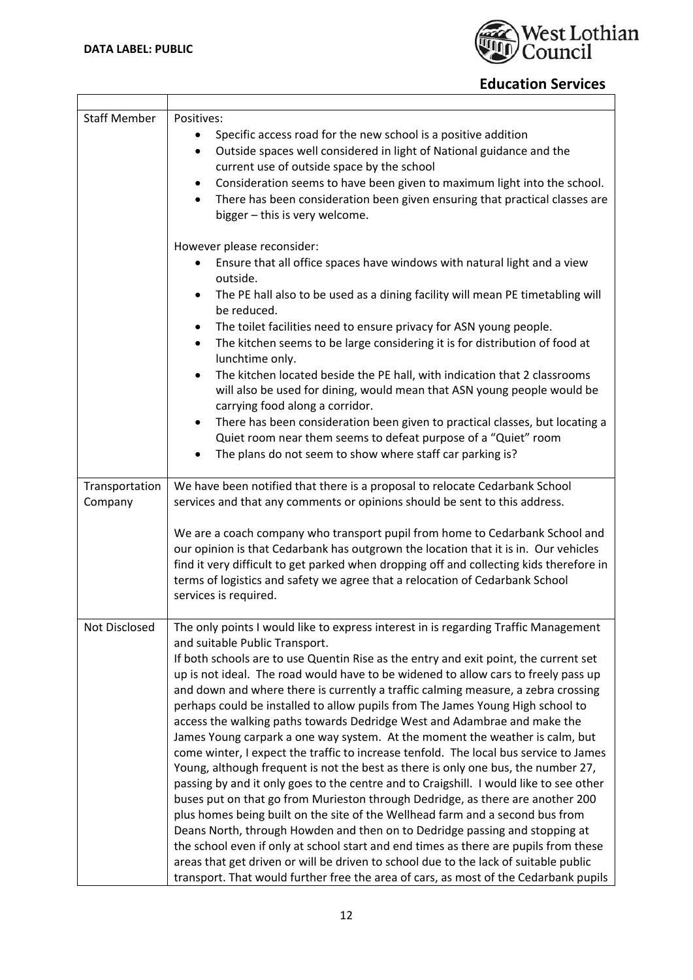$\overline{\phantom{a}}$ 



| <b>Staff Member</b> | Positives:                                                                                                                                                                                                                                                                                                                                                              |  |  |
|---------------------|-------------------------------------------------------------------------------------------------------------------------------------------------------------------------------------------------------------------------------------------------------------------------------------------------------------------------------------------------------------------------|--|--|
|                     | Specific access road for the new school is a positive addition                                                                                                                                                                                                                                                                                                          |  |  |
|                     | Outside spaces well considered in light of National guidance and the<br>$\bullet$                                                                                                                                                                                                                                                                                       |  |  |
|                     | current use of outside space by the school                                                                                                                                                                                                                                                                                                                              |  |  |
|                     | Consideration seems to have been given to maximum light into the school.<br>$\bullet$                                                                                                                                                                                                                                                                                   |  |  |
|                     | There has been consideration been given ensuring that practical classes are<br>$\bullet$<br>bigger - this is very welcome.                                                                                                                                                                                                                                              |  |  |
|                     |                                                                                                                                                                                                                                                                                                                                                                         |  |  |
|                     | However please reconsider:                                                                                                                                                                                                                                                                                                                                              |  |  |
|                     | Ensure that all office spaces have windows with natural light and a view                                                                                                                                                                                                                                                                                                |  |  |
|                     | outside.                                                                                                                                                                                                                                                                                                                                                                |  |  |
|                     | The PE hall also to be used as a dining facility will mean PE timetabling will<br>$\bullet$<br>be reduced.                                                                                                                                                                                                                                                              |  |  |
|                     | The toilet facilities need to ensure privacy for ASN young people.<br>٠                                                                                                                                                                                                                                                                                                 |  |  |
|                     | The kitchen seems to be large considering it is for distribution of food at<br>$\bullet$<br>lunchtime only.                                                                                                                                                                                                                                                             |  |  |
|                     | The kitchen located beside the PE hall, with indication that 2 classrooms<br>$\bullet$<br>will also be used for dining, would mean that ASN young people would be<br>carrying food along a corridor.                                                                                                                                                                    |  |  |
|                     | There has been consideration been given to practical classes, but locating a<br>$\bullet$                                                                                                                                                                                                                                                                               |  |  |
|                     | Quiet room near them seems to defeat purpose of a "Quiet" room                                                                                                                                                                                                                                                                                                          |  |  |
|                     | The plans do not seem to show where staff car parking is?<br>$\bullet$                                                                                                                                                                                                                                                                                                  |  |  |
| Transportation      | We have been notified that there is a proposal to relocate Cedarbank School                                                                                                                                                                                                                                                                                             |  |  |
| Company             | services and that any comments or opinions should be sent to this address.                                                                                                                                                                                                                                                                                              |  |  |
|                     | We are a coach company who transport pupil from home to Cedarbank School and<br>our opinion is that Cedarbank has outgrown the location that it is in. Our vehicles<br>find it very difficult to get parked when dropping off and collecting kids therefore in<br>terms of logistics and safety we agree that a relocation of Cedarbank School<br>services is required. |  |  |
| Not Disclosed       | The only points I would like to express interest in is regarding Traffic Management                                                                                                                                                                                                                                                                                     |  |  |
|                     | and suitable Public Transport.                                                                                                                                                                                                                                                                                                                                          |  |  |
|                     | If both schools are to use Quentin Rise as the entry and exit point, the current set<br>up is not ideal. The road would have to be widened to allow cars to freely pass up                                                                                                                                                                                              |  |  |
|                     | and down and where there is currently a traffic calming measure, a zebra crossing                                                                                                                                                                                                                                                                                       |  |  |
|                     | perhaps could be installed to allow pupils from The James Young High school to                                                                                                                                                                                                                                                                                          |  |  |
|                     | access the walking paths towards Dedridge West and Adambrae and make the                                                                                                                                                                                                                                                                                                |  |  |
|                     | James Young carpark a one way system. At the moment the weather is calm, but                                                                                                                                                                                                                                                                                            |  |  |
|                     | come winter, I expect the traffic to increase tenfold. The local bus service to James                                                                                                                                                                                                                                                                                   |  |  |
|                     | Young, although frequent is not the best as there is only one bus, the number 27,<br>passing by and it only goes to the centre and to Craigshill. I would like to see other                                                                                                                                                                                             |  |  |
|                     | buses put on that go from Murieston through Dedridge, as there are another 200                                                                                                                                                                                                                                                                                          |  |  |
|                     | plus homes being built on the site of the Wellhead farm and a second bus from                                                                                                                                                                                                                                                                                           |  |  |
|                     | Deans North, through Howden and then on to Dedridge passing and stopping at                                                                                                                                                                                                                                                                                             |  |  |
|                     | the school even if only at school start and end times as there are pupils from these                                                                                                                                                                                                                                                                                    |  |  |
|                     | areas that get driven or will be driven to school due to the lack of suitable public                                                                                                                                                                                                                                                                                    |  |  |
|                     | transport. That would further free the area of cars, as most of the Cedarbank pupils                                                                                                                                                                                                                                                                                    |  |  |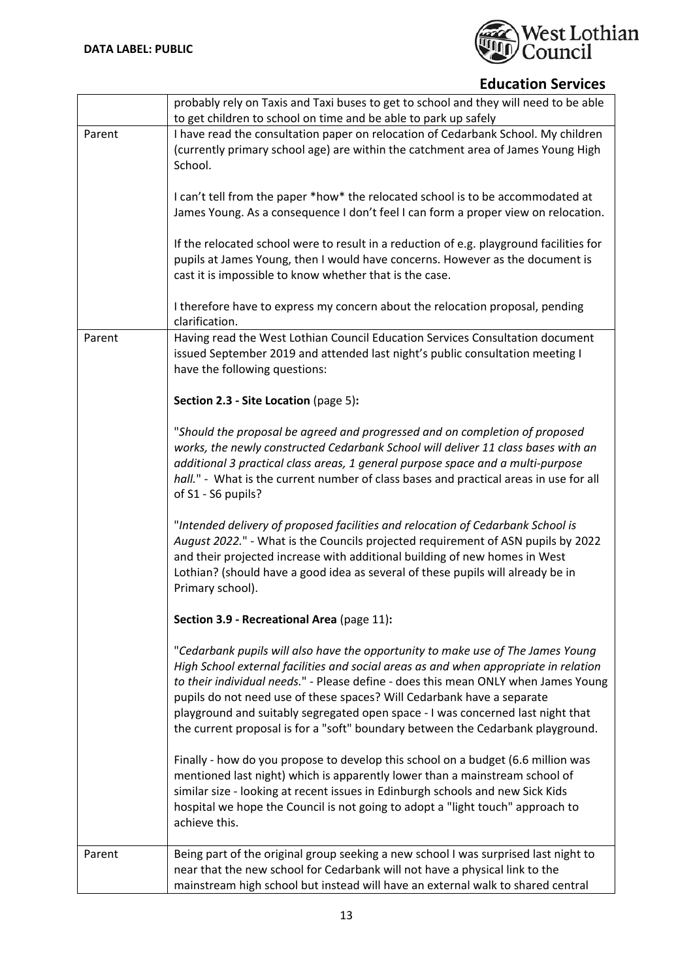

|        | probably rely on Taxis and Taxi buses to get to school and they will need to be able<br>to get children to school on time and be able to park up safely                                                                                                                                                                                                                                                                                                                                                       |
|--------|---------------------------------------------------------------------------------------------------------------------------------------------------------------------------------------------------------------------------------------------------------------------------------------------------------------------------------------------------------------------------------------------------------------------------------------------------------------------------------------------------------------|
| Parent | I have read the consultation paper on relocation of Cedarbank School. My children<br>(currently primary school age) are within the catchment area of James Young High<br>School.                                                                                                                                                                                                                                                                                                                              |
|        | I can't tell from the paper *how* the relocated school is to be accommodated at<br>James Young. As a consequence I don't feel I can form a proper view on relocation.                                                                                                                                                                                                                                                                                                                                         |
|        | If the relocated school were to result in a reduction of e.g. playground facilities for<br>pupils at James Young, then I would have concerns. However as the document is<br>cast it is impossible to know whether that is the case.                                                                                                                                                                                                                                                                           |
|        | I therefore have to express my concern about the relocation proposal, pending<br>clarification.                                                                                                                                                                                                                                                                                                                                                                                                               |
| Parent | Having read the West Lothian Council Education Services Consultation document<br>issued September 2019 and attended last night's public consultation meeting I<br>have the following questions:                                                                                                                                                                                                                                                                                                               |
|        | Section 2.3 - Site Location (page 5):                                                                                                                                                                                                                                                                                                                                                                                                                                                                         |
|        | "Should the proposal be agreed and progressed and on completion of proposed<br>works, the newly constructed Cedarbank School will deliver 11 class bases with an<br>additional 3 practical class areas, 1 general purpose space and a multi-purpose<br>hall." - What is the current number of class bases and practical areas in use for all<br>of S1 - S6 pupils?                                                                                                                                            |
|        | "Intended delivery of proposed facilities and relocation of Cedarbank School is<br>August 2022." - What is the Councils projected requirement of ASN pupils by 2022<br>and their projected increase with additional building of new homes in West<br>Lothian? (should have a good idea as several of these pupils will already be in<br>Primary school).                                                                                                                                                      |
|        | Section 3.9 - Recreational Area (page 11):                                                                                                                                                                                                                                                                                                                                                                                                                                                                    |
|        | "Cedarbank pupils will also have the opportunity to make use of The James Young<br>High School external facilities and social areas as and when appropriate in relation<br>to their individual needs." - Please define - does this mean ONLY when James Young<br>pupils do not need use of these spaces? Will Cedarbank have a separate<br>playground and suitably segregated open space - I was concerned last night that<br>the current proposal is for a "soft" boundary between the Cedarbank playground. |
|        | Finally - how do you propose to develop this school on a budget (6.6 million was<br>mentioned last night) which is apparently lower than a mainstream school of<br>similar size - looking at recent issues in Edinburgh schools and new Sick Kids<br>hospital we hope the Council is not going to adopt a "light touch" approach to<br>achieve this.                                                                                                                                                          |
| Parent | Being part of the original group seeking a new school I was surprised last night to<br>near that the new school for Cedarbank will not have a physical link to the<br>mainstream high school but instead will have an external walk to shared central                                                                                                                                                                                                                                                         |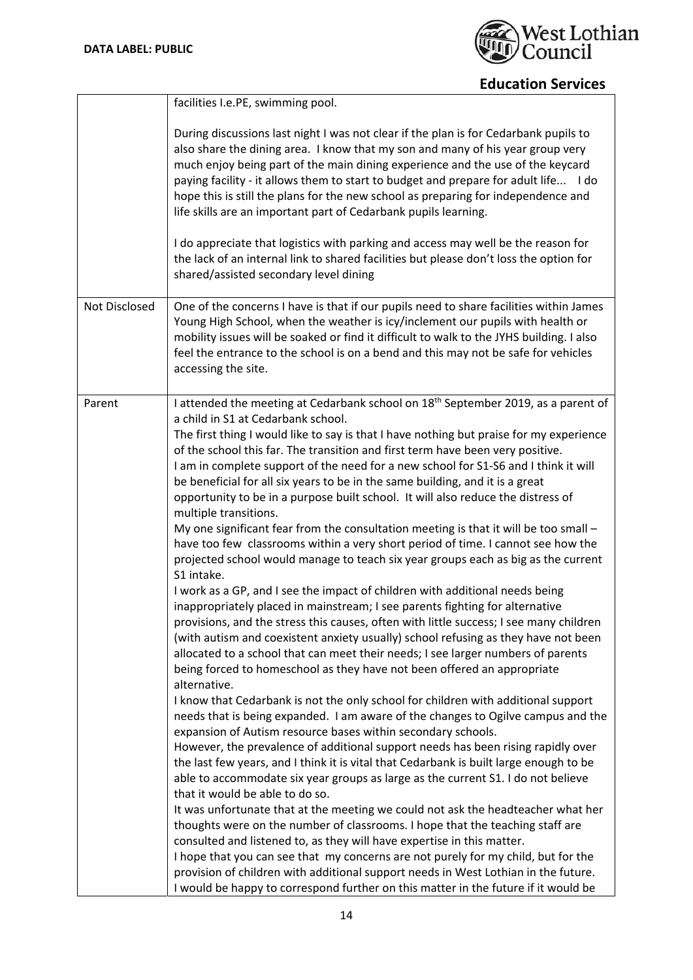

|               | facilities I.e.PE, swimming pool.                                                                                                                                                                                                                                                                                                                                                                                                                                                                                                                                                                                                                                                                                                                                                                                                                                                 |
|---------------|-----------------------------------------------------------------------------------------------------------------------------------------------------------------------------------------------------------------------------------------------------------------------------------------------------------------------------------------------------------------------------------------------------------------------------------------------------------------------------------------------------------------------------------------------------------------------------------------------------------------------------------------------------------------------------------------------------------------------------------------------------------------------------------------------------------------------------------------------------------------------------------|
|               | During discussions last night I was not clear if the plan is for Cedarbank pupils to<br>also share the dining area. I know that my son and many of his year group very<br>much enjoy being part of the main dining experience and the use of the keycard<br>paying facility - it allows them to start to budget and prepare for adult life I do<br>hope this is still the plans for the new school as preparing for independence and<br>life skills are an important part of Cedarbank pupils learning.                                                                                                                                                                                                                                                                                                                                                                           |
|               | I do appreciate that logistics with parking and access may well be the reason for<br>the lack of an internal link to shared facilities but please don't loss the option for<br>shared/assisted secondary level dining                                                                                                                                                                                                                                                                                                                                                                                                                                                                                                                                                                                                                                                             |
| Not Disclosed | One of the concerns I have is that if our pupils need to share facilities within James<br>Young High School, when the weather is icy/inclement our pupils with health or<br>mobility issues will be soaked or find it difficult to walk to the JYHS building. I also<br>feel the entrance to the school is on a bend and this may not be safe for vehicles<br>accessing the site.                                                                                                                                                                                                                                                                                                                                                                                                                                                                                                 |
| Parent        | I attended the meeting at Cedarbank school on 18 <sup>th</sup> September 2019, as a parent of<br>a child in S1 at Cedarbank school.<br>The first thing I would like to say is that I have nothing but praise for my experience<br>of the school this far. The transition and first term have been very positive.<br>I am in complete support of the need for a new school for S1-S6 and I think it will<br>be beneficial for all six years to be in the same building, and it is a great<br>opportunity to be in a purpose built school. It will also reduce the distress of<br>multiple transitions.<br>My one significant fear from the consultation meeting is that it will be too small -<br>have too few classrooms within a very short period of time. I cannot see how the<br>projected school would manage to teach six year groups each as big as the current            |
|               | S1 intake.<br>I work as a GP, and I see the impact of children with additional needs being<br>inappropriately placed in mainstream; I see parents fighting for alternative<br>provisions, and the stress this causes, often with little success; I see many children<br>(with autism and coexistent anxiety usually) school refusing as they have not been<br>allocated to a school that can meet their needs; I see larger numbers of parents<br>being forced to homeschool as they have not been offered an appropriate<br>alternative.<br>I know that Cedarbank is not the only school for children with additional support<br>needs that is being expanded. I am aware of the changes to Ogilve campus and the                                                                                                                                                                |
|               | expansion of Autism resource bases within secondary schools.<br>However, the prevalence of additional support needs has been rising rapidly over<br>the last few years, and I think it is vital that Cedarbank is built large enough to be<br>able to accommodate six year groups as large as the current S1. I do not believe<br>that it would be able to do so.<br>It was unfortunate that at the meeting we could not ask the headteacher what her<br>thoughts were on the number of classrooms. I hope that the teaching staff are<br>consulted and listened to, as they will have expertise in this matter.<br>I hope that you can see that my concerns are not purely for my child, but for the<br>provision of children with additional support needs in West Lothian in the future.<br>I would be happy to correspond further on this matter in the future if it would be |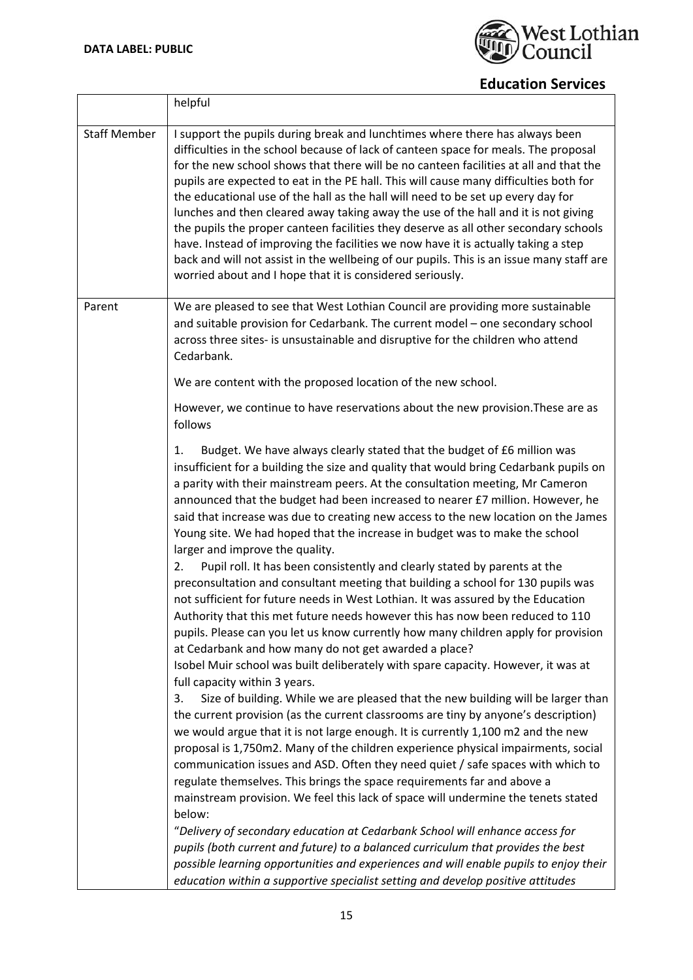

|                     | helpful                                                                                                                                                                                                                                                                                                                                                                                                                                                                                                                                                                                                                                                                                                                                                                                                                                                                |
|---------------------|------------------------------------------------------------------------------------------------------------------------------------------------------------------------------------------------------------------------------------------------------------------------------------------------------------------------------------------------------------------------------------------------------------------------------------------------------------------------------------------------------------------------------------------------------------------------------------------------------------------------------------------------------------------------------------------------------------------------------------------------------------------------------------------------------------------------------------------------------------------------|
| <b>Staff Member</b> | I support the pupils during break and lunchtimes where there has always been<br>difficulties in the school because of lack of canteen space for meals. The proposal<br>for the new school shows that there will be no canteen facilities at all and that the<br>pupils are expected to eat in the PE hall. This will cause many difficulties both for<br>the educational use of the hall as the hall will need to be set up every day for<br>lunches and then cleared away taking away the use of the hall and it is not giving<br>the pupils the proper canteen facilities they deserve as all other secondary schools<br>have. Instead of improving the facilities we now have it is actually taking a step<br>back and will not assist in the wellbeing of our pupils. This is an issue many staff are<br>worried about and I hope that it is considered seriously. |
| Parent              | We are pleased to see that West Lothian Council are providing more sustainable<br>and suitable provision for Cedarbank. The current model - one secondary school<br>across three sites- is unsustainable and disruptive for the children who attend<br>Cedarbank.                                                                                                                                                                                                                                                                                                                                                                                                                                                                                                                                                                                                      |
|                     | We are content with the proposed location of the new school.                                                                                                                                                                                                                                                                                                                                                                                                                                                                                                                                                                                                                                                                                                                                                                                                           |
|                     | However, we continue to have reservations about the new provision. These are as<br>follows                                                                                                                                                                                                                                                                                                                                                                                                                                                                                                                                                                                                                                                                                                                                                                             |
|                     | Budget. We have always clearly stated that the budget of £6 million was<br>1.<br>insufficient for a building the size and quality that would bring Cedarbank pupils on<br>a parity with their mainstream peers. At the consultation meeting, Mr Cameron<br>announced that the budget had been increased to nearer £7 million. However, he<br>said that increase was due to creating new access to the new location on the James<br>Young site. We had hoped that the increase in budget was to make the school<br>larger and improve the quality.                                                                                                                                                                                                                                                                                                                      |
|                     | Pupil roll. It has been consistently and clearly stated by parents at the<br>2.<br>preconsultation and consultant meeting that building a school for 130 pupils was<br>not sufficient for future needs in West Lothian. It was assured by the Education<br>Authority that this met future needs however this has now been reduced to 110<br>pupils. Please can you let us know currently how many children apply for provision<br>at Cedarbank and how many do not get awarded a place?                                                                                                                                                                                                                                                                                                                                                                                |
|                     | Isobel Muir school was built deliberately with spare capacity. However, it was at<br>full capacity within 3 years.<br>Size of building. While we are pleased that the new building will be larger than<br>3.                                                                                                                                                                                                                                                                                                                                                                                                                                                                                                                                                                                                                                                           |
|                     | the current provision (as the current classrooms are tiny by anyone's description)<br>we would argue that it is not large enough. It is currently 1,100 m2 and the new<br>proposal is 1,750m2. Many of the children experience physical impairments, social<br>communication issues and ASD. Often they need quiet / safe spaces with which to<br>regulate themselves. This brings the space requirements far and above a<br>mainstream provision. We feel this lack of space will undermine the tenets stated<br>below:                                                                                                                                                                                                                                                                                                                                               |
|                     | "Delivery of secondary education at Cedarbank School will enhance access for<br>pupils (both current and future) to a balanced curriculum that provides the best<br>possible learning opportunities and experiences and will enable pupils to enjoy their<br>education within a supportive specialist setting and develop positive attitudes                                                                                                                                                                                                                                                                                                                                                                                                                                                                                                                           |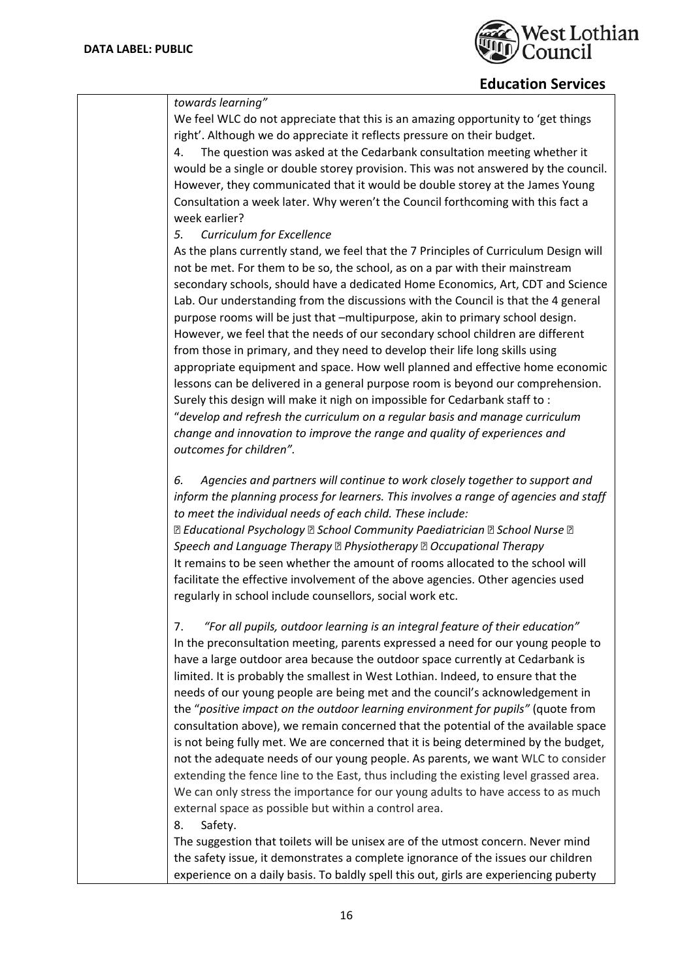

| towards learning"                                                                                                    |
|----------------------------------------------------------------------------------------------------------------------|
| We feel WLC do not appreciate that this is an amazing opportunity to 'get things                                     |
| right'. Although we do appreciate it reflects pressure on their budget.                                              |
| The question was asked at the Cedarbank consultation meeting whether it<br>4.                                        |
| would be a single or double storey provision. This was not answered by the council.                                  |
| However, they communicated that it would be double storey at the James Young                                         |
| Consultation a week later. Why weren't the Council forthcoming with this fact a                                      |
| week earlier?                                                                                                        |
| Curriculum for Excellence<br>5.                                                                                      |
|                                                                                                                      |
| As the plans currently stand, we feel that the 7 Principles of Curriculum Design will                                |
| not be met. For them to be so, the school, as on a par with their mainstream                                         |
| secondary schools, should have a dedicated Home Economics, Art, CDT and Science                                      |
| Lab. Our understanding from the discussions with the Council is that the 4 general                                   |
| purpose rooms will be just that -multipurpose, akin to primary school design.                                        |
| However, we feel that the needs of our secondary school children are different                                       |
| from those in primary, and they need to develop their life long skills using                                         |
| appropriate equipment and space. How well planned and effective home economic                                        |
| lessons can be delivered in a general purpose room is beyond our comprehension.                                      |
| Surely this design will make it nigh on impossible for Cedarbank staff to :                                          |
| "develop and refresh the curriculum on a regular basis and manage curriculum                                         |
| change and innovation to improve the range and quality of experiences and                                            |
| outcomes for children".                                                                                              |
| Agencies and partners will continue to work closely together to support and<br>6.                                    |
| inform the planning process for learners. This involves a range of agencies and staff                                |
| to meet the individual needs of each child. These include:                                                           |
| <b><b><b>D</b></b> Educational Psychology <b>D</b> School Community Paediatrician <b>D</b> School Nurse <b>D</b></b> |
| Speech and Language Therapy <b><b>Depaysion</b> Property Decupational Therapy</b>                                    |
| It remains to be seen whether the amount of rooms allocated to the school will                                       |
| facilitate the effective involvement of the above agencies. Other agencies used                                      |
| regularly in school include counsellors, social work etc.                                                            |
|                                                                                                                      |
| "For all pupils, outdoor learning is an integral feature of their education"<br>7.                                   |
| In the preconsultation meeting, parents expressed a need for our young people to                                     |
| have a large outdoor area because the outdoor space currently at Cedarbank is                                        |
| limited. It is probably the smallest in West Lothian. Indeed, to ensure that the                                     |
| needs of our young people are being met and the council's acknowledgement in                                         |
| the "positive impact on the outdoor learning environment for pupils" (quote from                                     |
| consultation above), we remain concerned that the potential of the available space                                   |
| is not being fully met. We are concerned that it is being determined by the budget,                                  |
| not the adequate needs of our young people. As parents, we want WLC to consider                                      |
| extending the fence line to the East, thus including the existing level grassed area.                                |
| We can only stress the importance for our young adults to have access to as much                                     |
| external space as possible but within a control area.                                                                |
| Safety.<br>8.                                                                                                        |
| The suggestion that toilets will be unisex are of the utmost concern. Never mind                                     |
| the safety issue, it demonstrates a complete ignorance of the issues our children                                    |
| experience on a daily basis. To baldly spell this out, girls are experiencing puberty                                |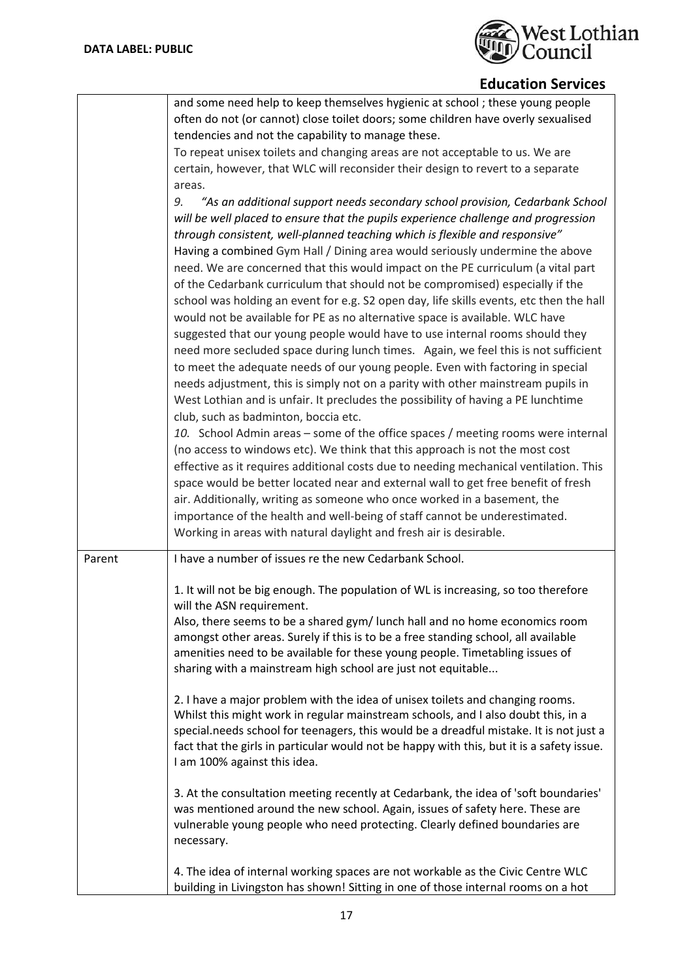

|        | and some need help to keep themselves hygienic at school; these young people<br>often do not (or cannot) close toilet doors; some children have overly sexualised<br>tendencies and not the capability to manage these.<br>To repeat unisex toilets and changing areas are not acceptable to us. We are<br>certain, however, that WLC will reconsider their design to revert to a separate<br>areas.<br>"As an additional support needs secondary school provision, Cedarbank School<br>9.<br>will be well placed to ensure that the pupils experience challenge and progression<br>through consistent, well-planned teaching which is flexible and responsive"<br>Having a combined Gym Hall / Dining area would seriously undermine the above<br>need. We are concerned that this would impact on the PE curriculum (a vital part<br>of the Cedarbank curriculum that should not be compromised) especially if the<br>school was holding an event for e.g. S2 open day, life skills events, etc then the hall<br>would not be available for PE as no alternative space is available. WLC have<br>suggested that our young people would have to use internal rooms should they<br>need more secluded space during lunch times. Again, we feel this is not sufficient<br>to meet the adequate needs of our young people. Even with factoring in special<br>needs adjustment, this is simply not on a parity with other mainstream pupils in<br>West Lothian and is unfair. It precludes the possibility of having a PE lunchtime<br>club, such as badminton, boccia etc.<br>10. School Admin areas - some of the office spaces / meeting rooms were internal<br>(no access to windows etc). We think that this approach is not the most cost<br>effective as it requires additional costs due to needing mechanical ventilation. This<br>space would be better located near and external wall to get free benefit of fresh<br>air. Additionally, writing as someone who once worked in a basement, the<br>importance of the health and well-being of staff cannot be underestimated. |
|--------|--------------------------------------------------------------------------------------------------------------------------------------------------------------------------------------------------------------------------------------------------------------------------------------------------------------------------------------------------------------------------------------------------------------------------------------------------------------------------------------------------------------------------------------------------------------------------------------------------------------------------------------------------------------------------------------------------------------------------------------------------------------------------------------------------------------------------------------------------------------------------------------------------------------------------------------------------------------------------------------------------------------------------------------------------------------------------------------------------------------------------------------------------------------------------------------------------------------------------------------------------------------------------------------------------------------------------------------------------------------------------------------------------------------------------------------------------------------------------------------------------------------------------------------------------------------------------------------------------------------------------------------------------------------------------------------------------------------------------------------------------------------------------------------------------------------------------------------------------------------------------------------------------------------------------------------------------------------------------------------------------------------------------------------------------------------------------------------|
| Parent | Working in areas with natural daylight and fresh air is desirable.<br>I have a number of issues re the new Cedarbank School.                                                                                                                                                                                                                                                                                                                                                                                                                                                                                                                                                                                                                                                                                                                                                                                                                                                                                                                                                                                                                                                                                                                                                                                                                                                                                                                                                                                                                                                                                                                                                                                                                                                                                                                                                                                                                                                                                                                                                         |
|        | 1. It will not be big enough. The population of WL is increasing, so too therefore<br>will the ASN requirement.<br>Also, there seems to be a shared gym/ lunch hall and no home economics room<br>amongst other areas. Surely if this is to be a free standing school, all available<br>amenities need to be available for these young people. Timetabling issues of<br>sharing with a mainstream high school are just not equitable<br>2. I have a major problem with the idea of unisex toilets and changing rooms.<br>Whilst this might work in regular mainstream schools, and I also doubt this, in a<br>special.needs school for teenagers, this would be a dreadful mistake. It is not just a                                                                                                                                                                                                                                                                                                                                                                                                                                                                                                                                                                                                                                                                                                                                                                                                                                                                                                                                                                                                                                                                                                                                                                                                                                                                                                                                                                                 |
|        | fact that the girls in particular would not be happy with this, but it is a safety issue.<br>I am 100% against this idea.<br>3. At the consultation meeting recently at Cedarbank, the idea of 'soft boundaries'<br>was mentioned around the new school. Again, issues of safety here. These are<br>vulnerable young people who need protecting. Clearly defined boundaries are<br>necessary.<br>4. The idea of internal working spaces are not workable as the Civic Centre WLC                                                                                                                                                                                                                                                                                                                                                                                                                                                                                                                                                                                                                                                                                                                                                                                                                                                                                                                                                                                                                                                                                                                                                                                                                                                                                                                                                                                                                                                                                                                                                                                                     |
|        | building in Livingston has shown! Sitting in one of those internal rooms on a hot                                                                                                                                                                                                                                                                                                                                                                                                                                                                                                                                                                                                                                                                                                                                                                                                                                                                                                                                                                                                                                                                                                                                                                                                                                                                                                                                                                                                                                                                                                                                                                                                                                                                                                                                                                                                                                                                                                                                                                                                    |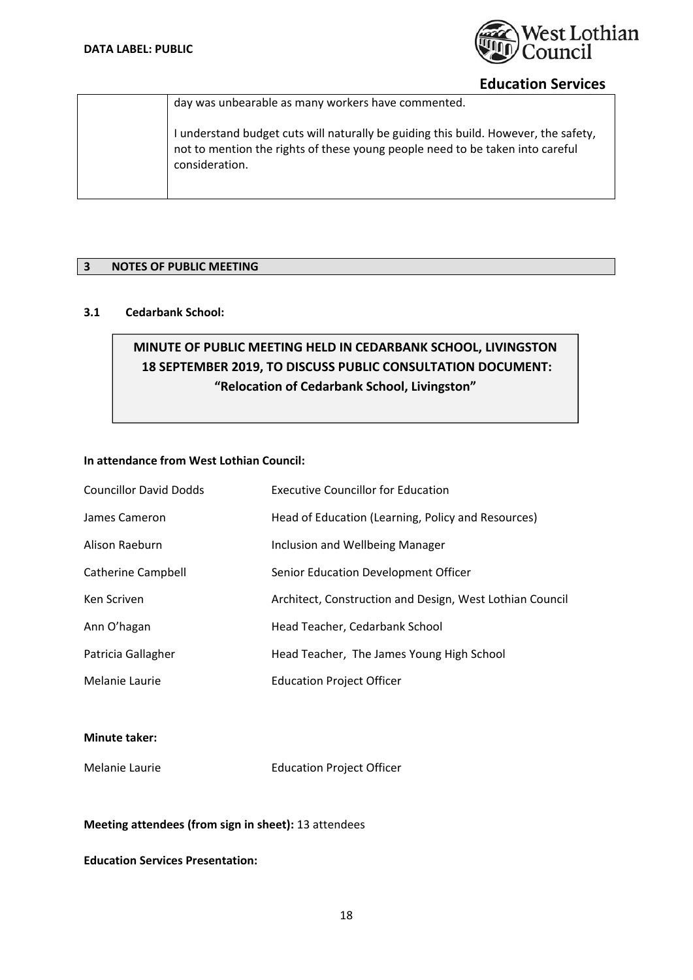

day was unbearable as many workers have commented.

I understand budget cuts will naturally be guiding this build. However, the safety, not to mention the rights of these young people need to be taken into careful consideration.

## **3 NOTES OF PUBLIC MEETING**

# **3.1 Cedarbank School:**

# **MINUTE OF PUBLIC MEETING HELD IN CEDARBANK SCHOOL, LIVINGSTON 18 SEPTEMBER 2019, TO DISCUSS PUBLIC CONSULTATION DOCUMENT: "Relocation of Cedarbank School, Livingston"**

#### **In attendance from West Lothian Council:**

| <b>Councillor David Dodds</b> | <b>Executive Councillor for Education</b>                |
|-------------------------------|----------------------------------------------------------|
| James Cameron                 | Head of Education (Learning, Policy and Resources)       |
| Alison Raeburn                | Inclusion and Wellbeing Manager                          |
| Catherine Campbell            | Senior Education Development Officer                     |
| Ken Scriven                   | Architect, Construction and Design, West Lothian Council |
| Ann O'hagan                   | Head Teacher, Cedarbank School                           |
| Patricia Gallagher            | Head Teacher, The James Young High School                |
| Melanie Laurie                | <b>Education Project Officer</b>                         |

#### **Minute taker:**

Melanie Laurie Education Project Officer

#### **Meeting attendees (from sign in sheet):** 13 attendees

## **Education Services Presentation:**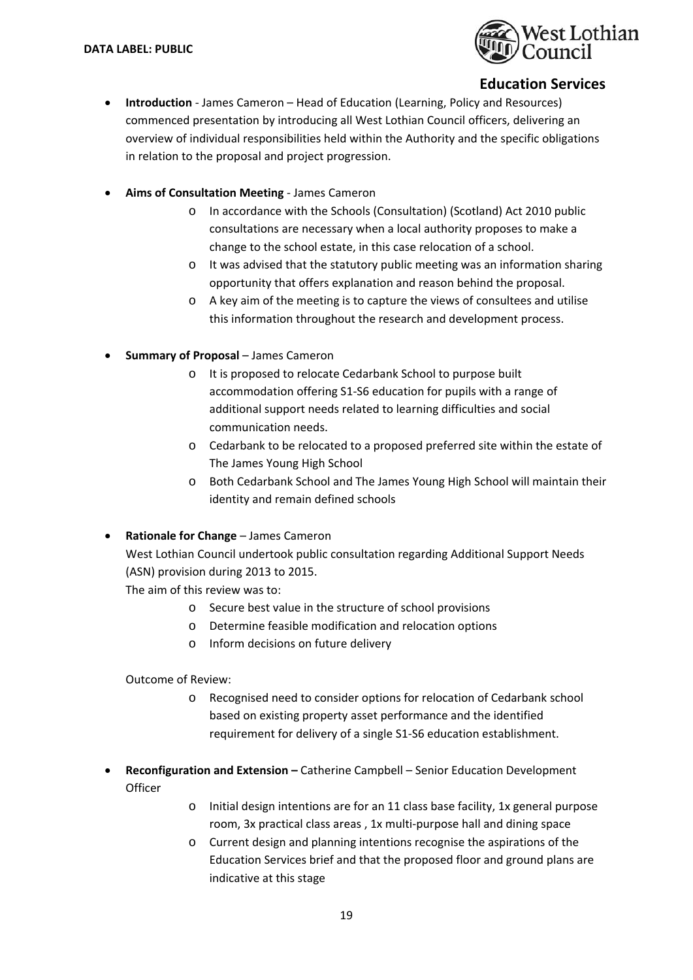

- **Introduction** James Cameron Head of Education (Learning, Policy and Resources) commenced presentation by introducing all West Lothian Council officers, delivering an overview of individual responsibilities held within the Authority and the specific obligations in relation to the proposal and project progression.
- **Aims of Consultation Meeting** ‐ James Cameron
	- o In accordance with the Schools (Consultation) (Scotland) Act 2010 public consultations are necessary when a local authority proposes to make a change to the school estate, in this case relocation of a school.
	- o It was advised that the statutory public meeting was an information sharing opportunity that offers explanation and reason behind the proposal.
	- o A key aim of the meeting is to capture the views of consultees and utilise this information throughout the research and development process.
- **Summary of Proposal** James Cameron
	- o It is proposed to relocate Cedarbank School to purpose built accommodation offering S1‐S6 education for pupils with a range of additional support needs related to learning difficulties and social communication needs.
	- o Cedarbank to be relocated to a proposed preferred site within the estate of The James Young High School
	- o Both Cedarbank School and The James Young High School will maintain their identity and remain defined schools
- **Rationale for Change**  James Cameron
	- West Lothian Council undertook public consultation regarding Additional Support Needs (ASN) provision during 2013 to 2015.

The aim of this review was to:

- o Secure best value in the structure of school provisions
- o Determine feasible modification and relocation options
- o Inform decisions on future delivery

Outcome of Review:

- o Recognised need to consider options for relocation of Cedarbank school based on existing property asset performance and the identified requirement for delivery of a single S1‐S6 education establishment.
- **Reconfiguration and Extension** Catherine Campbell Senior Education Development **Officer** 
	- o Initial design intentions are for an 11 class base facility, 1x general purpose room, 3x practical class areas , 1x multi‐purpose hall and dining space
	- o Current design and planning intentions recognise the aspirations of the Education Services brief and that the proposed floor and ground plans are indicative at this stage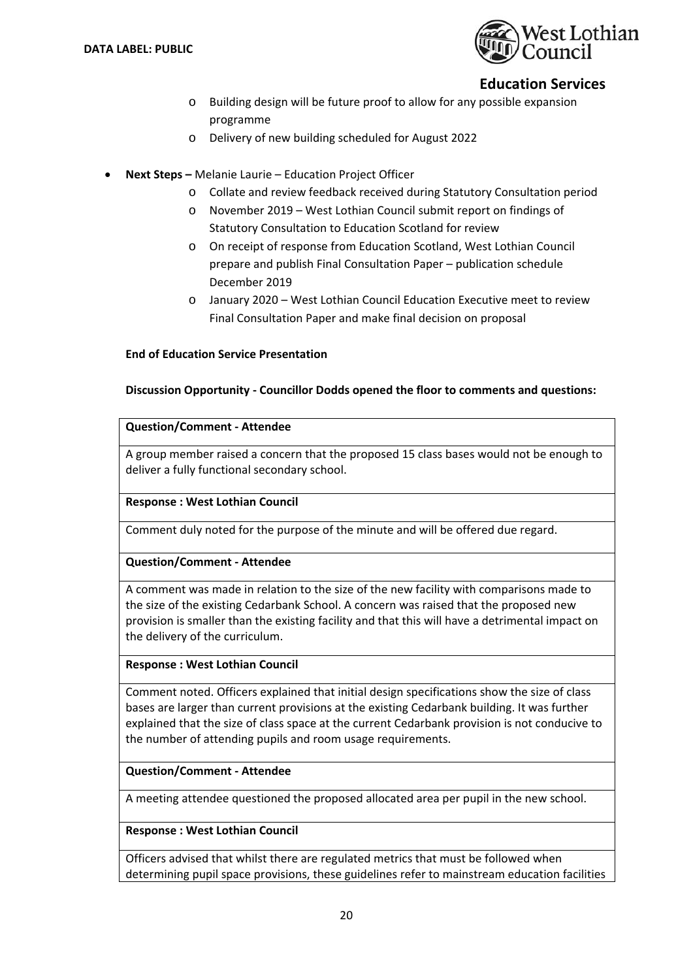

- o Building design will be future proof to allow for any possible expansion programme
- o Delivery of new building scheduled for August 2022
- **Next Steps** Melanie Laurie Education Project Officer
	- o Collate and review feedback received during Statutory Consultation period
	- o November 2019 West Lothian Council submit report on findings of Statutory Consultation to Education Scotland for review
	- o On receipt of response from Education Scotland, West Lothian Council prepare and publish Final Consultation Paper – publication schedule December 2019
	- o January 2020 West Lothian Council Education Executive meet to review Final Consultation Paper and make final decision on proposal

#### **End of Education Service Presentation**

#### **Discussion Opportunity ‐ Councillor Dodds opened the floor to comments and questions:**

#### **Question/Comment ‐ Attendee**

A group member raised a concern that the proposed 15 class bases would not be enough to deliver a fully functional secondary school.

#### **Response : West Lothian Council**

Comment duly noted for the purpose of the minute and will be offered due regard.

#### **Question/Comment ‐ Attendee**

A comment was made in relation to the size of the new facility with comparisons made to the size of the existing Cedarbank School. A concern was raised that the proposed new provision is smaller than the existing facility and that this will have a detrimental impact on the delivery of the curriculum.

#### **Response : West Lothian Council**

Comment noted. Officers explained that initial design specifications show the size of class bases are larger than current provisions at the existing Cedarbank building. It was further explained that the size of class space at the current Cedarbank provision is not conducive to the number of attending pupils and room usage requirements.

#### **Question/Comment ‐ Attendee**

A meeting attendee questioned the proposed allocated area per pupil in the new school.

#### **Response : West Lothian Council**

Officers advised that whilst there are regulated metrics that must be followed when determining pupil space provisions, these guidelines refer to mainstream education facilities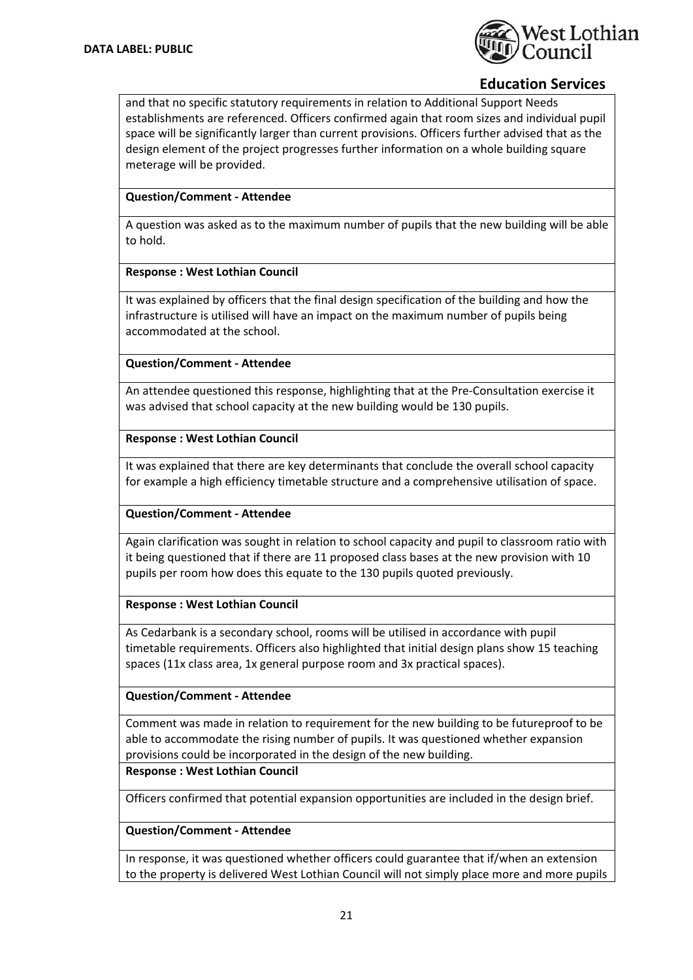

and that no specific statutory requirements in relation to Additional Support Needs establishments are referenced. Officers confirmed again that room sizes and individual pupil space will be significantly larger than current provisions. Officers further advised that as the design element of the project progresses further information on a whole building square meterage will be provided.

## **Question/Comment ‐ Attendee**

A question was asked as to the maximum number of pupils that the new building will be able to hold.

#### **Response : West Lothian Council**

It was explained by officers that the final design specification of the building and how the infrastructure is utilised will have an impact on the maximum number of pupils being accommodated at the school.

## **Question/Comment ‐ Attendee**

An attendee questioned this response, highlighting that at the Pre‐Consultation exercise it was advised that school capacity at the new building would be 130 pupils.

#### **Response : West Lothian Council**

It was explained that there are key determinants that conclude the overall school capacity for example a high efficiency timetable structure and a comprehensive utilisation of space.

# **Question/Comment ‐ Attendee**

Again clarification was sought in relation to school capacity and pupil to classroom ratio with it being questioned that if there are 11 proposed class bases at the new provision with 10 pupils per room how does this equate to the 130 pupils quoted previously.

#### **Response : West Lothian Council**

As Cedarbank is a secondary school, rooms will be utilised in accordance with pupil timetable requirements. Officers also highlighted that initial design plans show 15 teaching spaces (11x class area, 1x general purpose room and 3x practical spaces).

# **Question/Comment ‐ Attendee**

Comment was made in relation to requirement for the new building to be futureproof to be able to accommodate the rising number of pupils. It was questioned whether expansion provisions could be incorporated in the design of the new building.

#### **Response : West Lothian Council**

Officers confirmed that potential expansion opportunities are included in the design brief.

#### **Question/Comment ‐ Attendee**

In response, it was questioned whether officers could guarantee that if/when an extension to the property is delivered West Lothian Council will not simply place more and more pupils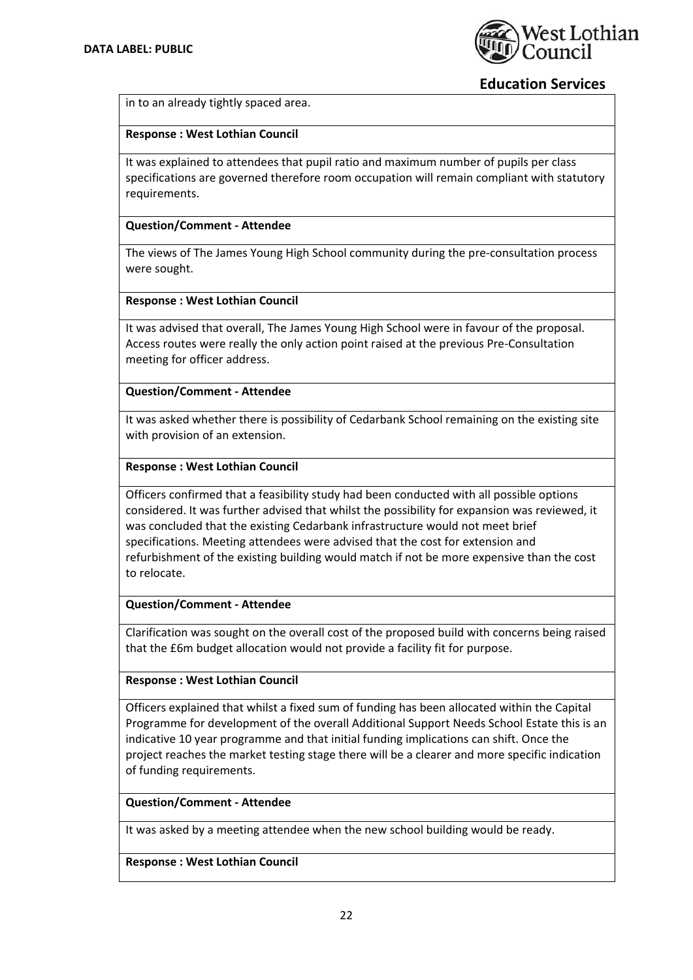

in to an already tightly spaced area.

#### **Response : West Lothian Council**

It was explained to attendees that pupil ratio and maximum number of pupils per class specifications are governed therefore room occupation will remain compliant with statutory requirements.

### **Question/Comment ‐ Attendee**

The views of The James Young High School community during the pre‐consultation process were sought.

#### **Response : West Lothian Council**

It was advised that overall, The James Young High School were in favour of the proposal. Access routes were really the only action point raised at the previous Pre‐Consultation meeting for officer address.

#### **Question/Comment ‐ Attendee**

It was asked whether there is possibility of Cedarbank School remaining on the existing site with provision of an extension.

## **Response : West Lothian Council**

Officers confirmed that a feasibility study had been conducted with all possible options considered. It was further advised that whilst the possibility for expansion was reviewed, it was concluded that the existing Cedarbank infrastructure would not meet brief specifications. Meeting attendees were advised that the cost for extension and refurbishment of the existing building would match if not be more expensive than the cost to relocate.

#### **Question/Comment ‐ Attendee**

Clarification was sought on the overall cost of the proposed build with concerns being raised that the £6m budget allocation would not provide a facility fit for purpose.

#### **Response : West Lothian Council**

Officers explained that whilst a fixed sum of funding has been allocated within the Capital Programme for development of the overall Additional Support Needs School Estate this is an indicative 10 year programme and that initial funding implications can shift. Once the project reaches the market testing stage there will be a clearer and more specific indication of funding requirements.

#### **Question/Comment ‐ Attendee**

It was asked by a meeting attendee when the new school building would be ready.

#### **Response : West Lothian Council**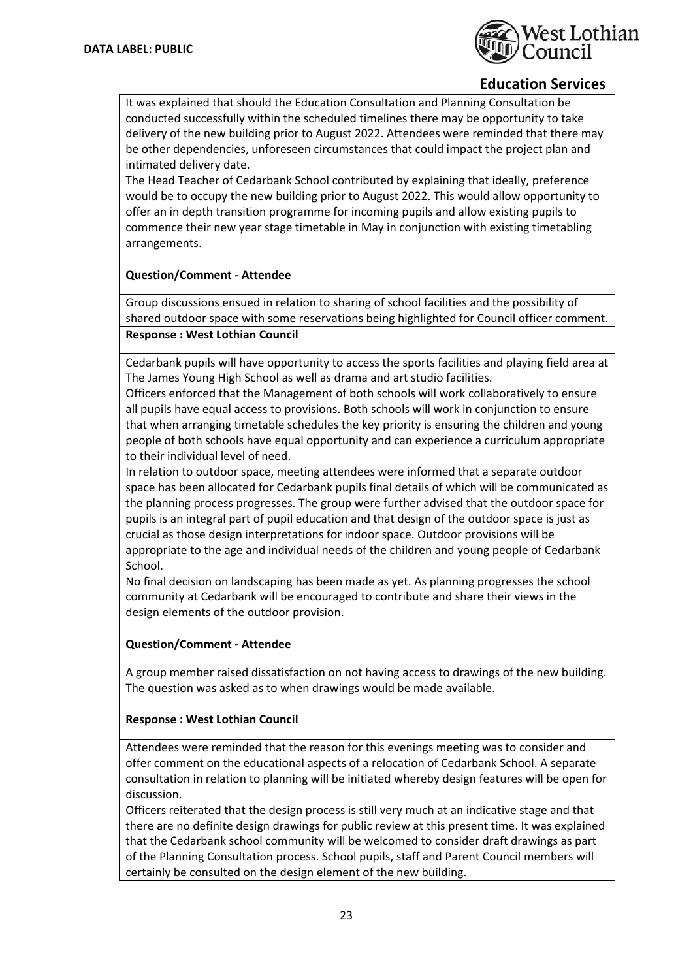

It was explained that should the Education Consultation and Planning Consultation be conducted successfully within the scheduled timelines there may be opportunity to take delivery of the new building prior to August 2022. Attendees were reminded that there may be other dependencies, unforeseen circumstances that could impact the project plan and intimated delivery date.

The Head Teacher of Cedarbank School contributed by explaining that ideally, preference would be to occupy the new building prior to August 2022. This would allow opportunity to offer an in depth transition programme for incoming pupils and allow existing pupils to commence their new year stage timetable in May in conjunction with existing timetabling arrangements.

## **Question/Comment ‐ Attendee**

Group discussions ensued in relation to sharing of school facilities and the possibility of shared outdoor space with some reservations being highlighted for Council officer comment. **Response : West Lothian Council**

Cedarbank pupils will have opportunity to access the sports facilities and playing field area at The James Young High School as well as drama and art studio facilities.

Officers enforced that the Management of both schools will work collaboratively to ensure all pupils have equal access to provisions. Both schools will work in conjunction to ensure that when arranging timetable schedules the key priority is ensuring the children and young people of both schools have equal opportunity and can experience a curriculum appropriate to their individual level of need.

In relation to outdoor space, meeting attendees were informed that a separate outdoor space has been allocated for Cedarbank pupils final details of which will be communicated as the planning process progresses. The group were further advised that the outdoor space for pupils is an integral part of pupil education and that design of the outdoor space is just as crucial as those design interpretations for indoor space. Outdoor provisions will be appropriate to the age and individual needs of the children and young people of Cedarbank School.

No final decision on landscaping has been made as yet. As planning progresses the school community at Cedarbank will be encouraged to contribute and share their views in the design elements of the outdoor provision.

#### **Question/Comment ‐ Attendee**

A group member raised dissatisfaction on not having access to drawings of the new building. The question was asked as to when drawings would be made available.

#### **Response : West Lothian Council**

Attendees were reminded that the reason for this evenings meeting was to consider and offer comment on the educational aspects of a relocation of Cedarbank School. A separate consultation in relation to planning will be initiated whereby design features will be open for discussion.

Officers reiterated that the design process is still very much at an indicative stage and that there are no definite design drawings for public review at this present time. It was explained that the Cedarbank school community will be welcomed to consider draft drawings as part of the Planning Consultation process. School pupils, staff and Parent Council members will certainly be consulted on the design element of the new building.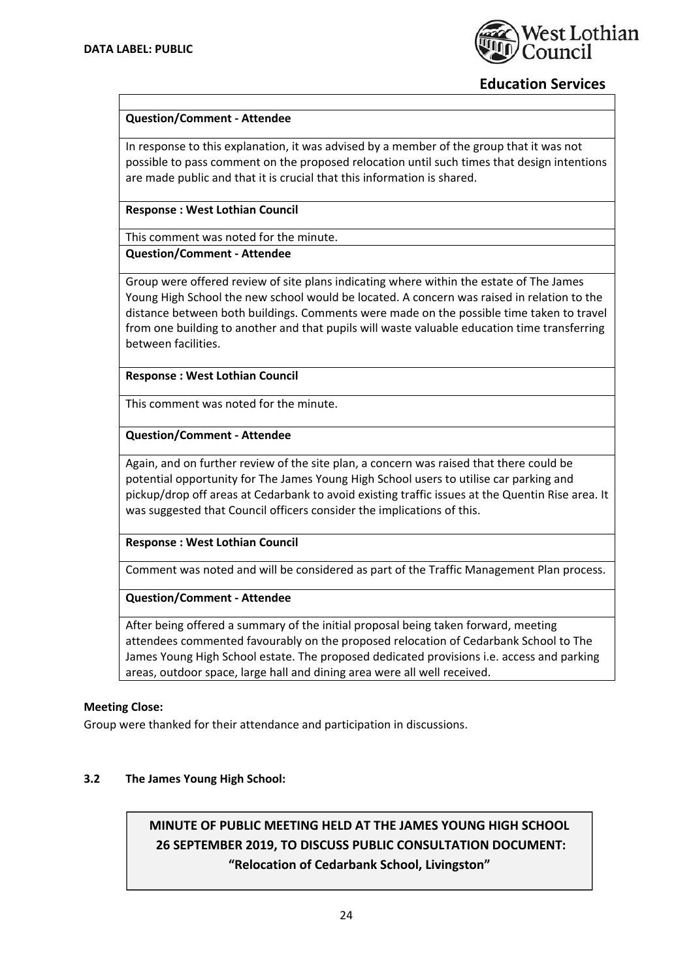

# **Question/Comment ‐ Attendee**

In response to this explanation, it was advised by a member of the group that it was not possible to pass comment on the proposed relocation until such times that design intentions are made public and that it is crucial that this information is shared.

### **Response : West Lothian Council**

This comment was noted for the minute.

**Question/Comment ‐ Attendee**

Group were offered review of site plans indicating where within the estate of The James Young High School the new school would be located. A concern was raised in relation to the distance between both buildings. Comments were made on the possible time taken to travel from one building to another and that pupils will waste valuable education time transferring between facilities.

**Response : West Lothian Council**

This comment was noted for the minute.

## **Question/Comment ‐ Attendee**

Again, and on further review of the site plan, a concern was raised that there could be potential opportunity for The James Young High School users to utilise car parking and pickup/drop off areas at Cedarbank to avoid existing traffic issues at the Quentin Rise area. It was suggested that Council officers consider the implications of this.

#### **Response : West Lothian Council**

Comment was noted and will be considered as part of the Traffic Management Plan process.

# **Question/Comment ‐ Attendee**

After being offered a summary of the initial proposal being taken forward, meeting attendees commented favourably on the proposed relocation of Cedarbank School to The James Young High School estate. The proposed dedicated provisions i.e. access and parking areas, outdoor space, large hall and dining area were all well received.

#### **Meeting Close:**

Group were thanked for their attendance and participation in discussions.

# **3.2 The James Young High School:**

# **MINUTE OF PUBLIC MEETING HELD AT THE JAMES YOUNG HIGH SCHOOL 26 SEPTEMBER 2019, TO DISCUSS PUBLIC CONSULTATION DOCUMENT: "Relocation of Cedarbank School, Livingston"**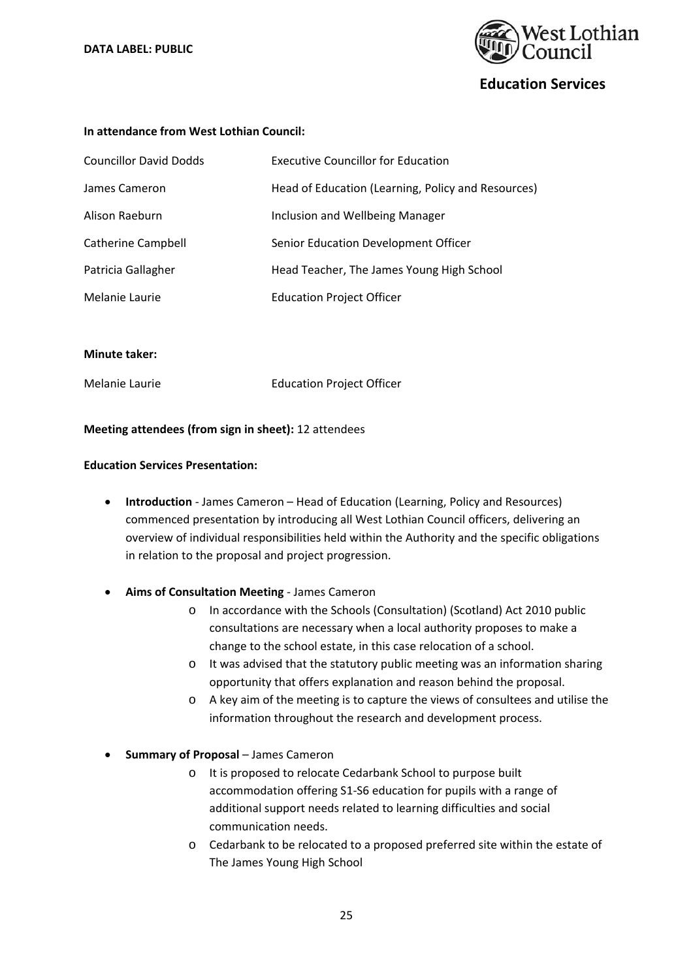

#### **In attendance from West Lothian Council:**

| <b>Councillor David Dodds</b> | <b>Executive Councillor for Education</b>          |
|-------------------------------|----------------------------------------------------|
| James Cameron                 | Head of Education (Learning, Policy and Resources) |
| Alison Raeburn                | Inclusion and Wellbeing Manager                    |
| <b>Catherine Campbell</b>     | Senior Education Development Officer               |
| Patricia Gallagher            | Head Teacher, The James Young High School          |
| Melanie Laurie                | <b>Education Project Officer</b>                   |

#### **Minute taker:**

Melanie Laurie Education Project Officer

#### **Meeting attendees (from sign in sheet):** 12 attendees

#### **Education Services Presentation:**

- **Introduction** James Cameron Head of Education (Learning, Policy and Resources) commenced presentation by introducing all West Lothian Council officers, delivering an overview of individual responsibilities held within the Authority and the specific obligations in relation to the proposal and project progression.
- **Aims of Consultation Meeting** ‐ James Cameron
	- o In accordance with the Schools (Consultation) (Scotland) Act 2010 public consultations are necessary when a local authority proposes to make a change to the school estate, in this case relocation of a school.
	- o It was advised that the statutory public meeting was an information sharing opportunity that offers explanation and reason behind the proposal.
	- o A key aim of the meeting is to capture the views of consultees and utilise the information throughout the research and development process.
- **Summary of Proposal** James Cameron
	- o It is proposed to relocate Cedarbank School to purpose built accommodation offering S1‐S6 education for pupils with a range of additional support needs related to learning difficulties and social communication needs.
	- o Cedarbank to be relocated to a proposed preferred site within the estate of The James Young High School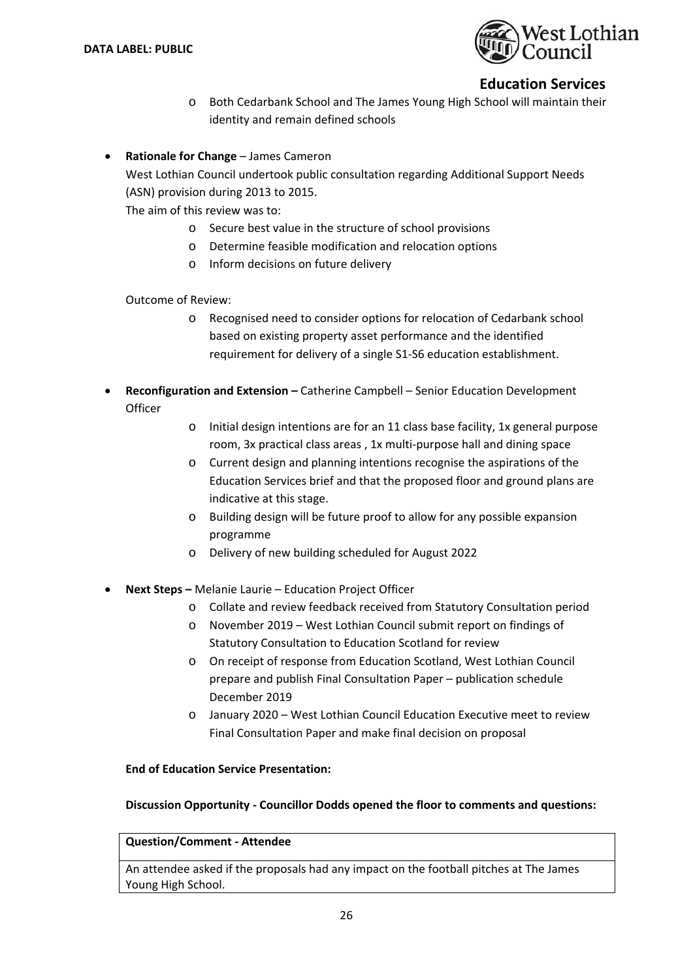

- o Both Cedarbank School and The James Young High School will maintain their identity and remain defined schools
- **Rationale for Change**  James Cameron

West Lothian Council undertook public consultation regarding Additional Support Needs (ASN) provision during 2013 to 2015.

The aim of this review was to:

- o Secure best value in the structure of school provisions
- o Determine feasible modification and relocation options
- o Inform decisions on future delivery

Outcome of Review:

- o Recognised need to consider options for relocation of Cedarbank school based on existing property asset performance and the identified requirement for delivery of a single S1‐S6 education establishment.
- **Reconfiguration and Extension** Catherine Campbell Senior Education Development **Officer** 
	- o Initial design intentions are for an 11 class base facility, 1x general purpose room, 3x practical class areas , 1x multi‐purpose hall and dining space
	- o Current design and planning intentions recognise the aspirations of the Education Services brief and that the proposed floor and ground plans are indicative at this stage.
	- o Building design will be future proof to allow for any possible expansion programme
	- o Delivery of new building scheduled for August 2022
- **Next Steps** Melanie Laurie Education Project Officer
	- o Collate and review feedback received from Statutory Consultation period
	- o November 2019 West Lothian Council submit report on findings of Statutory Consultation to Education Scotland for review
	- o On receipt of response from Education Scotland, West Lothian Council prepare and publish Final Consultation Paper – publication schedule December 2019
	- o January 2020 West Lothian Council Education Executive meet to review Final Consultation Paper and make final decision on proposal

#### **End of Education Service Presentation:**

#### **Discussion Opportunity ‐ Councillor Dodds opened the floor to comments and questions:**

#### **Question/Comment ‐ Attendee**

An attendee asked if the proposals had any impact on the football pitches at The James Young High School.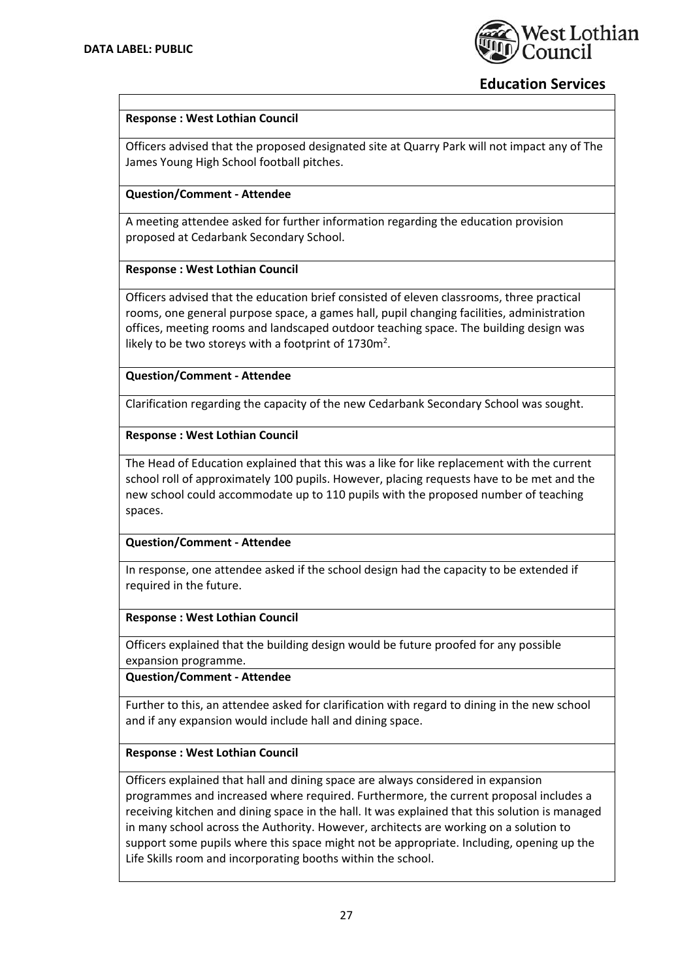

## **Response : West Lothian Council**

Officers advised that the proposed designated site at Quarry Park will not impact any of The James Young High School football pitches.

## **Question/Comment ‐ Attendee**

A meeting attendee asked for further information regarding the education provision proposed at Cedarbank Secondary School.

#### **Response : West Lothian Council**

Officers advised that the education brief consisted of eleven classrooms, three practical rooms, one general purpose space, a games hall, pupil changing facilities, administration offices, meeting rooms and landscaped outdoor teaching space. The building design was likely to be two storeys with a footprint of  $1730m^2$ .

**Question/Comment ‐ Attendee**

Clarification regarding the capacity of the new Cedarbank Secondary School was sought.

#### **Response : West Lothian Council**

The Head of Education explained that this was a like for like replacement with the current school roll of approximately 100 pupils. However, placing requests have to be met and the new school could accommodate up to 110 pupils with the proposed number of teaching spaces.

#### **Question/Comment ‐ Attendee**

In response, one attendee asked if the school design had the capacity to be extended if required in the future.

#### **Response : West Lothian Council**

Officers explained that the building design would be future proofed for any possible expansion programme.

**Question/Comment ‐ Attendee**

Further to this, an attendee asked for clarification with regard to dining in the new school and if any expansion would include hall and dining space.

#### **Response : West Lothian Council**

Officers explained that hall and dining space are always considered in expansion programmes and increased where required. Furthermore, the current proposal includes a receiving kitchen and dining space in the hall. It was explained that this solution is managed in many school across the Authority. However, architects are working on a solution to support some pupils where this space might not be appropriate. Including, opening up the Life Skills room and incorporating booths within the school.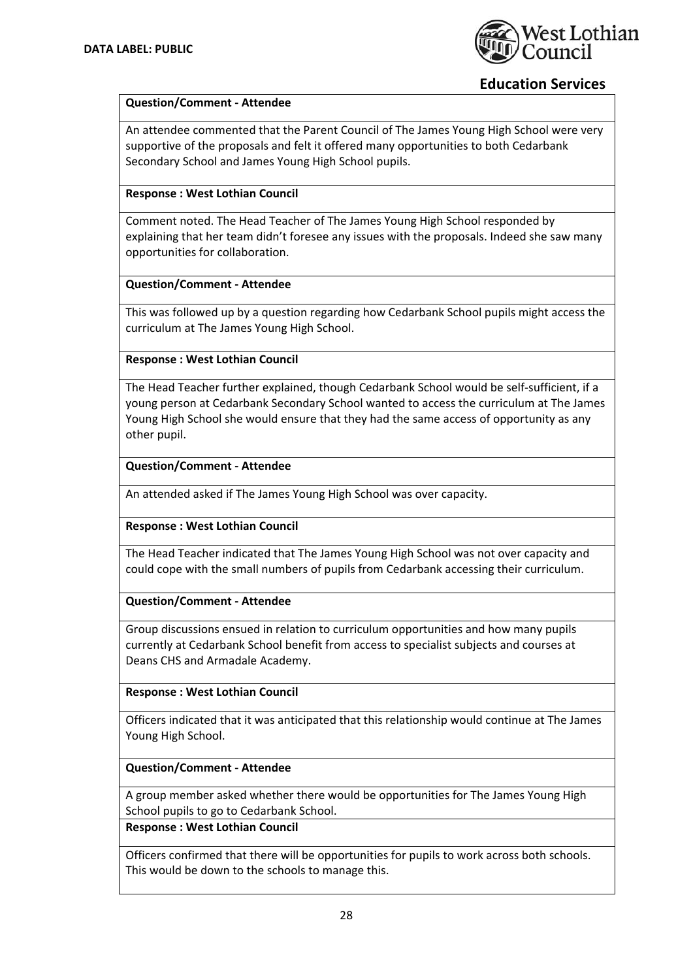

## **Question/Comment ‐ Attendee**

An attendee commented that the Parent Council of The James Young High School were very supportive of the proposals and felt it offered many opportunities to both Cedarbank Secondary School and James Young High School pupils.

# **Response : West Lothian Council**

Comment noted. The Head Teacher of The James Young High School responded by explaining that her team didn't foresee any issues with the proposals. Indeed she saw many opportunities for collaboration.

#### **Question/Comment ‐ Attendee**

This was followed up by a question regarding how Cedarbank School pupils might access the curriculum at The James Young High School.

**Response : West Lothian Council**

The Head Teacher further explained, though Cedarbank School would be self‐sufficient, if a young person at Cedarbank Secondary School wanted to access the curriculum at The James Young High School she would ensure that they had the same access of opportunity as any other pupil.

## **Question/Comment ‐ Attendee**

An attended asked if The James Young High School was over capacity.

#### **Response : West Lothian Council**

The Head Teacher indicated that The James Young High School was not over capacity and could cope with the small numbers of pupils from Cedarbank accessing their curriculum.

#### **Question/Comment ‐ Attendee**

Group discussions ensued in relation to curriculum opportunities and how many pupils currently at Cedarbank School benefit from access to specialist subjects and courses at Deans CHS and Armadale Academy.

# **Response : West Lothian Council**

Officers indicated that it was anticipated that this relationship would continue at The James Young High School.

#### **Question/Comment ‐ Attendee**

A group member asked whether there would be opportunities for The James Young High School pupils to go to Cedarbank School.

#### **Response : West Lothian Council**

Officers confirmed that there will be opportunities for pupils to work across both schools. This would be down to the schools to manage this.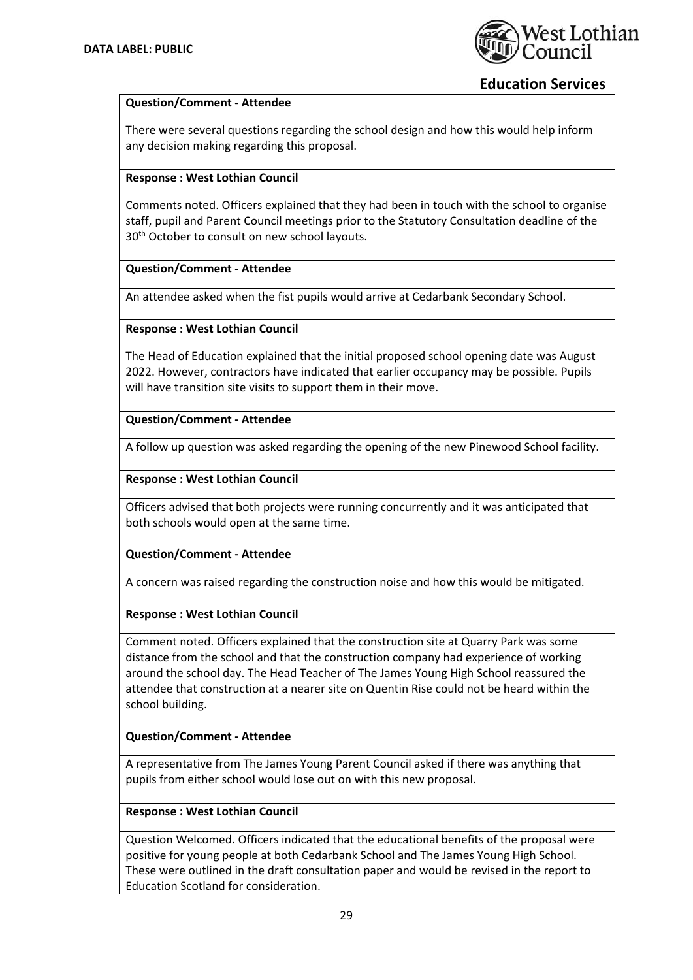

## **Question/Comment ‐ Attendee**

There were several questions regarding the school design and how this would help inform any decision making regarding this proposal.

### **Response : West Lothian Council**

Comments noted. Officers explained that they had been in touch with the school to organise staff, pupil and Parent Council meetings prior to the Statutory Consultation deadline of the 30<sup>th</sup> October to consult on new school layouts.

## **Question/Comment ‐ Attendee**

An attendee asked when the fist pupils would arrive at Cedarbank Secondary School.

## **Response : West Lothian Council**

The Head of Education explained that the initial proposed school opening date was August 2022. However, contractors have indicated that earlier occupancy may be possible. Pupils will have transition site visits to support them in their move.

## **Question/Comment ‐ Attendee**

A follow up question was asked regarding the opening of the new Pinewood School facility.

## **Response : West Lothian Council**

Officers advised that both projects were running concurrently and it was anticipated that both schools would open at the same time.

#### **Question/Comment ‐ Attendee**

A concern was raised regarding the construction noise and how this would be mitigated.

#### **Response : West Lothian Council**

Comment noted. Officers explained that the construction site at Quarry Park was some distance from the school and that the construction company had experience of working around the school day. The Head Teacher of The James Young High School reassured the attendee that construction at a nearer site on Quentin Rise could not be heard within the school building.

#### **Question/Comment ‐ Attendee**

A representative from The James Young Parent Council asked if there was anything that pupils from either school would lose out on with this new proposal.

#### **Response : West Lothian Council**

Question Welcomed. Officers indicated that the educational benefits of the proposal were positive for young people at both Cedarbank School and The James Young High School. These were outlined in the draft consultation paper and would be revised in the report to Education Scotland for consideration.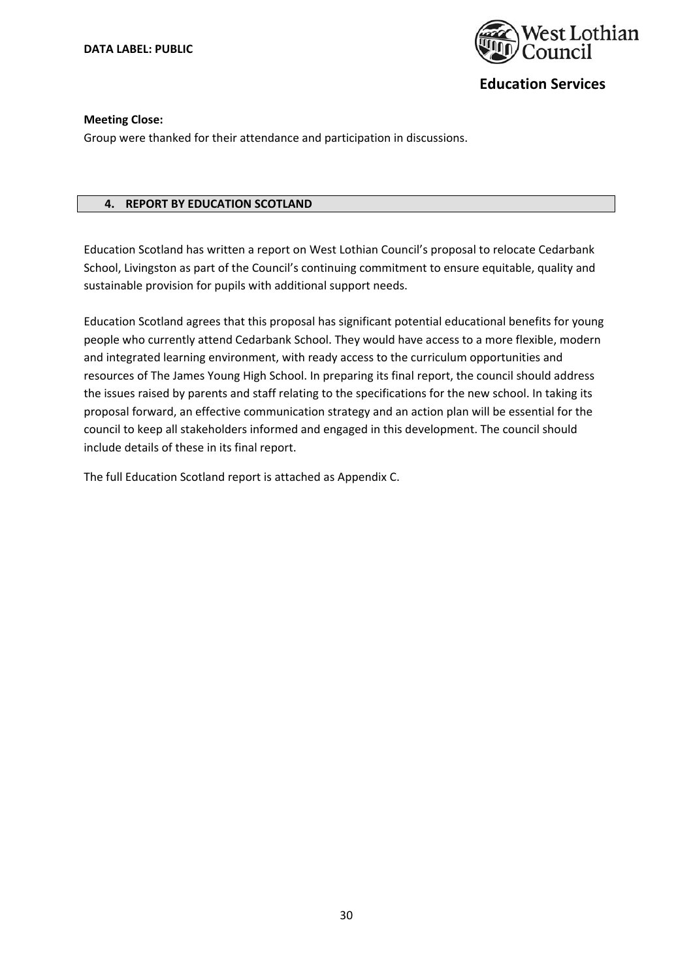

#### **Meeting Close:**

Group were thanked for their attendance and participation in discussions.

### **4. REPORT BY EDUCATION SCOTLAND**

Education Scotland has written a report on West Lothian Council's proposal to relocate Cedarbank School, Livingston as part of the Council's continuing commitment to ensure equitable, quality and sustainable provision for pupils with additional support needs.

Education Scotland agrees that this proposal has significant potential educational benefits for young people who currently attend Cedarbank School. They would have access to a more flexible, modern and integrated learning environment, with ready access to the curriculum opportunities and resources of The James Young High School. In preparing its final report, the council should address the issues raised by parents and staff relating to the specifications for the new school. In taking its proposal forward, an effective communication strategy and an action plan will be essential for the council to keep all stakeholders informed and engaged in this development. The council should include details of these in its final report.

The full Education Scotland report is attached as Appendix C.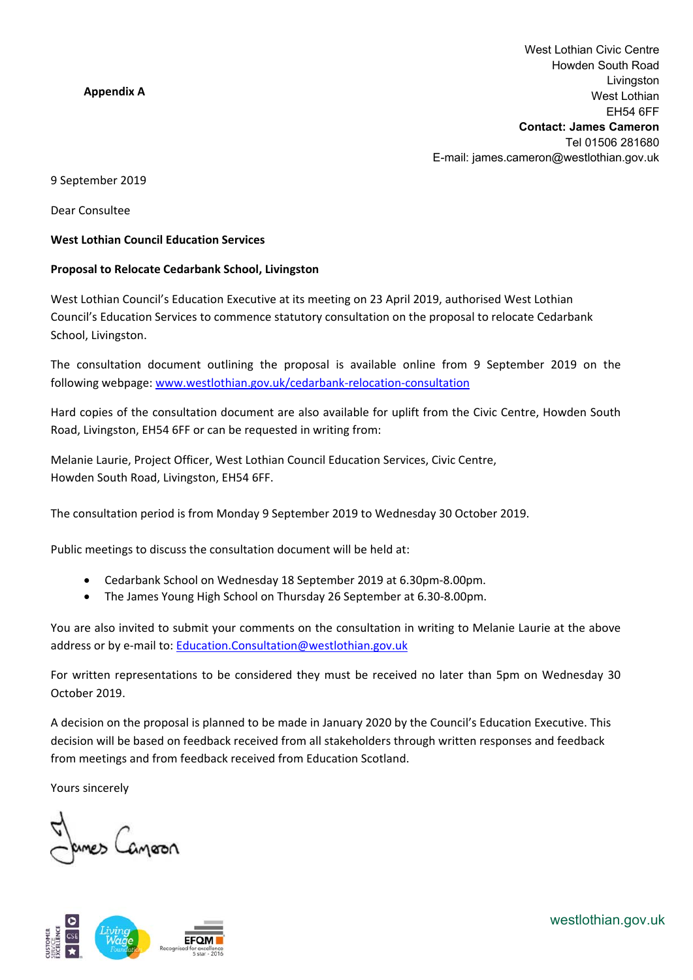# **Appendix A**

9 September 2019

Dear Consultee

#### **West Lothian Council Education Services**

## **Proposal to Relocate Cedarbank School, Livingston**

West Lothian Council's Education Executive at its meeting on 23 April 2019, authorised West Lothian Council's Education Services to commence statutory consultation on the proposal to relocate Cedarbank School, Livingston.

The consultation document outlining the proposal is available online from 9 September 2019 on the following webpage: www.westlothian.gov.uk/cedarbank‐relocation‐consultation

Hard copies of the consultation document are also available for uplift from the Civic Centre, Howden South Road, Livingston, EH54 6FF or can be requested in writing from:

Melanie Laurie, Project Officer, West Lothian Council Education Services, Civic Centre, Howden South Road, Livingston, EH54 6FF.

The consultation period is from Monday 9 September 2019 to Wednesday 30 October 2019.

Public meetings to discuss the consultation document will be held at:

- Cedarbank School on Wednesday 18 September 2019 at 6.30pm‐8.00pm.
- The James Young High School on Thursday 26 September at 6.30‐8.00pm.

You are also invited to submit your comments on the consultation in writing to Melanie Laurie at the above address or by e-mail to: Education.Consultation@westlothian.gov.uk

For written representations to be considered they must be received no later than 5pm on Wednesday 30 October 2019.

A decision on the proposal is planned to be made in January 2020 by the Council's Education Executive. This decision will be based on feedback received from all stakeholders through written responses and feedback from meetings and from feedback received from Education Scotland.

Yours sincerely

umes Canpoon



westlothian.gov.uk